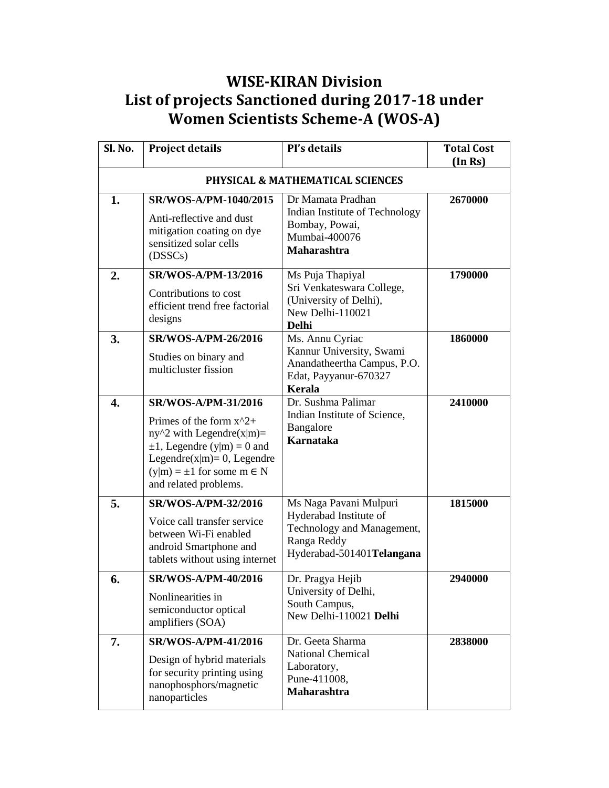## **WISE-KIRAN Division List of projects Sanctioned during 2017-18 under Women Scientists Scheme-A (WOS-A)**

| Sl. No. | <b>Project details</b>                                                                                                                                                                                                     | PI's details                                                                                                               | <b>Total Cost</b><br>(In Rs) |  |  |
|---------|----------------------------------------------------------------------------------------------------------------------------------------------------------------------------------------------------------------------------|----------------------------------------------------------------------------------------------------------------------------|------------------------------|--|--|
|         | PHYSICAL & MATHEMATICAL SCIENCES                                                                                                                                                                                           |                                                                                                                            |                              |  |  |
| 1.      | SR/WOS-A/PM-1040/2015<br>Anti-reflective and dust<br>mitigation coating on dye<br>sensitized solar cells<br>(DSSCs)                                                                                                        | Dr Mamata Pradhan<br>Indian Institute of Technology<br>Bombay, Powai,<br>Mumbai-400076<br><b>Maharashtra</b>               | 2670000                      |  |  |
| 2.      | <b>SR/WOS-A/PM-13/2016</b><br>Contributions to cost<br>efficient trend free factorial<br>designs                                                                                                                           | Ms Puja Thapiyal<br>Sri Venkateswara College,<br>(University of Delhi),<br>New Delhi-110021<br>Delhi                       | 1790000                      |  |  |
| 3.      | <b>SR/WOS-A/PM-26/2016</b><br>Studies on binary and<br>multicluster fission                                                                                                                                                | Ms. Annu Cyriac<br>Kannur University, Swami<br>Anandatheertha Campus, P.O.<br>Edat, Payyanur-670327<br>Kerala              | 1860000                      |  |  |
| 4.      | <b>SR/WOS-A/PM-31/2016</b><br>Primes of the form $x^2 +$<br>$ny^2$ with Legendre(x m)=<br>$\pm 1$ , Legendre (y m) = 0 and<br>Legendre $(x m)=0$ , Legendre<br>$(y m) = \pm 1$ for some $m \in N$<br>and related problems. | Dr. Sushma Palimar<br>Indian Institute of Science,<br>Bangalore<br><b>Karnataka</b>                                        | 2410000                      |  |  |
| 5.      | SR/WOS-A/PM-32/2016<br>Voice call transfer service<br>between Wi-Fi enabled<br>android Smartphone and<br>tablets without using internet                                                                                    | Ms Naga Pavani Mulpuri<br>Hyderabad Institute of<br>Technology and Management,<br>Ranga Reddy<br>Hyderabad-501401Telangana | 1815000                      |  |  |
| 6.      | <b>SR/WOS-A/PM-40/2016</b><br>Nonlinearities in<br>semiconductor optical<br>amplifiers (SOA)                                                                                                                               | Dr. Pragya Hejib<br>University of Delhi,<br>South Campus,<br>New Delhi-110021 Delhi                                        | 2940000                      |  |  |
| 7.      | <b>SR/WOS-A/PM-41/2016</b><br>Design of hybrid materials<br>for security printing using<br>nanophosphors/magnetic<br>nanoparticles                                                                                         | Dr. Geeta Sharma<br><b>National Chemical</b><br>Laboratory,<br>Pune-411008,<br><b>Maharashtra</b>                          | 2838000                      |  |  |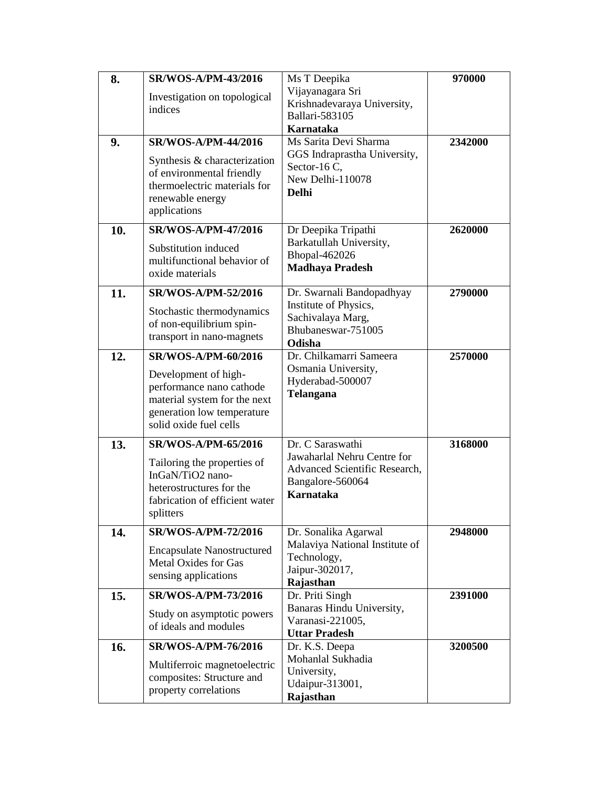| 8.  | <b>SR/WOS-A/PM-43/2016</b>                           | Ms T Deepika                                    | 970000  |
|-----|------------------------------------------------------|-------------------------------------------------|---------|
|     | Investigation on topological                         | Vijayanagara Sri                                |         |
|     | indices                                              | Krishnadevaraya University,                     |         |
|     |                                                      | <b>Ballari-583105</b>                           |         |
|     |                                                      | <b>Karnataka</b><br>Ms Sarita Devi Sharma       |         |
| 9.  | <b>SR/WOS-A/PM-44/2016</b>                           | GGS Indraprastha University,                    | 2342000 |
|     | Synthesis & characterization                         | Sector-16 C,                                    |         |
|     | of environmental friendly                            | New Delhi-110078                                |         |
|     | thermoelectric materials for                         | <b>Delhi</b>                                    |         |
|     | renewable energy<br>applications                     |                                                 |         |
|     |                                                      |                                                 |         |
| 10. | <b>SR/WOS-A/PM-47/2016</b>                           | Dr Deepika Tripathi                             | 2620000 |
|     | Substitution induced                                 | Barkatullah University,                         |         |
|     | multifunctional behavior of                          | Bhopal-462026<br><b>Madhaya Pradesh</b>         |         |
|     | oxide materials                                      |                                                 |         |
| 11. | <b>SR/WOS-A/PM-52/2016</b>                           | Dr. Swarnali Bandopadhyay                       | 2790000 |
|     | Stochastic thermodynamics                            | Institute of Physics,                           |         |
|     | of non-equilibrium spin-                             | Sachivalaya Marg,                               |         |
|     | transport in nano-magnets                            | Bhubaneswar-751005                              |         |
|     |                                                      | Odisha                                          |         |
| 12. | <b>SR/WOS-A/PM-60/2016</b>                           | Dr. Chilkamarri Sameera<br>Osmania University,  | 2570000 |
|     | Development of high-                                 | Hyderabad-500007                                |         |
|     | performance nano cathode                             | <b>Telangana</b>                                |         |
|     | material system for the next                         |                                                 |         |
|     | generation low temperature<br>solid oxide fuel cells |                                                 |         |
|     |                                                      |                                                 |         |
| 13. | <b>SR/WOS-A/PM-65/2016</b>                           | Dr. C Saraswathi<br>Jawaharlal Nehru Centre for | 3168000 |
|     | Tailoring the properties of                          | Advanced Scientific Research,                   |         |
|     | InGaN/TiO2 nano-                                     | Bangalore-560064                                |         |
|     | heterostructures for the                             | <b>Karnataka</b>                                |         |
|     | fabrication of efficient water<br>splitters          |                                                 |         |
|     |                                                      |                                                 |         |
| 14. | <b>SR/WOS-A/PM-72/2016</b>                           | Dr. Sonalika Agarwal                            | 2948000 |
|     | <b>Encapsulate Nanostructured</b>                    | Malaviya National Institute of                  |         |
|     | Metal Oxides for Gas                                 | Technology,<br>Jaipur-302017,                   |         |
|     | sensing applications                                 | Rajasthan                                       |         |
| 15. | SR/WOS-A/PM-73/2016                                  | Dr. Priti Singh                                 | 2391000 |
|     | Study on asymptotic powers                           | Banaras Hindu University,                       |         |
|     | of ideals and modules                                | Varanasi-221005,                                |         |
|     |                                                      | <b>Uttar Pradesh</b>                            |         |
| 16. | <b>SR/WOS-A/PM-76/2016</b>                           | Dr. K.S. Deepa                                  | 3200500 |
|     | Multiferroic magnetoelectric                         | Mohanlal Sukhadia<br>University,                |         |
|     | composites: Structure and                            | Udaipur-313001,                                 |         |
|     | property correlations                                | Rajasthan                                       |         |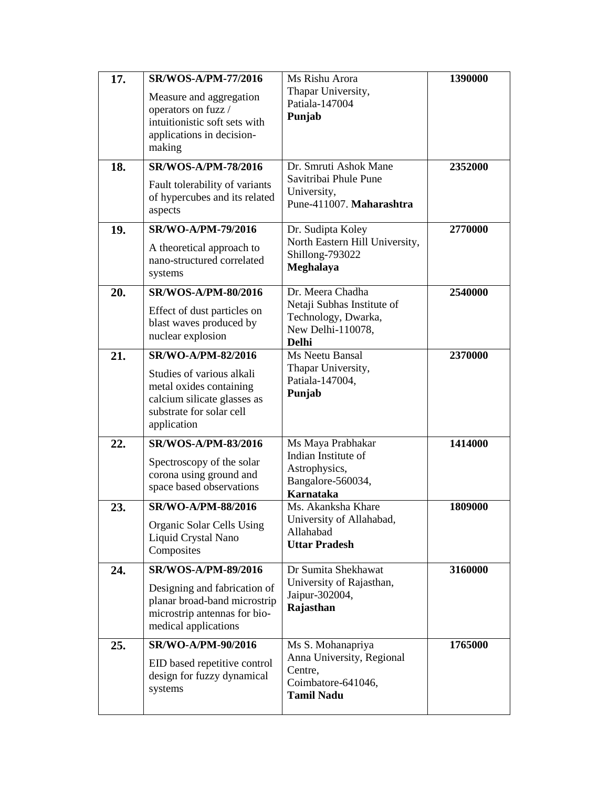| 17. | <b>SR/WOS-A/PM-77/2016</b>                           | Ms Rishu Arora                                  | 1390000 |
|-----|------------------------------------------------------|-------------------------------------------------|---------|
|     | Measure and aggregation                              | Thapar University,                              |         |
|     | operators on fuzz /                                  | Patiala-147004                                  |         |
|     | intuitionistic soft sets with                        | Punjab                                          |         |
|     | applications in decision-                            |                                                 |         |
|     | making                                               |                                                 |         |
| 18. | <b>SR/WOS-A/PM-78/2016</b>                           | Dr. Smruti Ashok Mane                           | 2352000 |
|     | Fault tolerability of variants                       | Savitribai Phule Pune                           |         |
|     | of hypercubes and its related                        | University,                                     |         |
|     | aspects                                              | Pune-411007. Maharashtra                        |         |
| 19. | SR/WO-A/PM-79/2016                                   | Dr. Sudipta Koley                               | 2770000 |
|     | A theoretical approach to                            | North Eastern Hill University,                  |         |
|     | nano-structured correlated                           | Shillong-793022                                 |         |
|     | systems                                              | Meghalaya                                       |         |
| 20. | <b>SR/WOS-A/PM-80/2016</b>                           | Dr. Meera Chadha                                | 2540000 |
|     | Effect of dust particles on                          | Netaji Subhas Institute of                      |         |
|     | blast waves produced by                              | Technology, Dwarka,                             |         |
|     | nuclear explosion                                    | New Delhi-110078,<br><b>Delhi</b>               |         |
| 21. | SR/WO-A/PM-82/2016                                   | Ms Neetu Bansal                                 | 2370000 |
|     | Studies of various alkali                            | Thapar University,                              |         |
|     | metal oxides containing                              | Patiala-147004,                                 |         |
|     | calcium silicate glasses as                          | Punjab                                          |         |
|     | substrate for solar cell                             |                                                 |         |
|     | application                                          |                                                 |         |
| 22. | <b>SR/WOS-A/PM-83/2016</b>                           | Ms Maya Prabhakar                               | 1414000 |
|     | Spectroscopy of the solar                            | Indian Institute of                             |         |
|     | corona using ground and                              | Astrophysics,                                   |         |
|     | space based observations                             | Bangalore-560034,                               |         |
|     | SR/WO-A/PM-88/2016                                   | <b>Karnataka</b><br>Ms. Akanksha Khare          | 1809000 |
| 23. |                                                      | University of Allahabad,                        |         |
|     | Organic Solar Cells Using                            | Allahabad                                       |         |
|     | Liquid Crystal Nano<br>Composites                    | <b>Uttar Pradesh</b>                            |         |
|     |                                                      |                                                 |         |
| 24. | SR/WOS-A/PM-89/2016                                  | Dr Sumita Shekhawat<br>University of Rajasthan, | 3160000 |
|     | Designing and fabrication of                         | Jaipur-302004,                                  |         |
|     | planar broad-band microstrip                         | Rajasthan                                       |         |
|     | microstrip antennas for bio-<br>medical applications |                                                 |         |
|     |                                                      |                                                 |         |
| 25. | SR/WO-A/PM-90/2016                                   | Ms S. Mohanapriya<br>Anna University, Regional  | 1765000 |
|     | EID based repetitive control                         | Centre,                                         |         |
|     | design for fuzzy dynamical                           | Coimbatore-641046,                              |         |
|     | systems                                              | <b>Tamil Nadu</b>                               |         |
|     |                                                      |                                                 |         |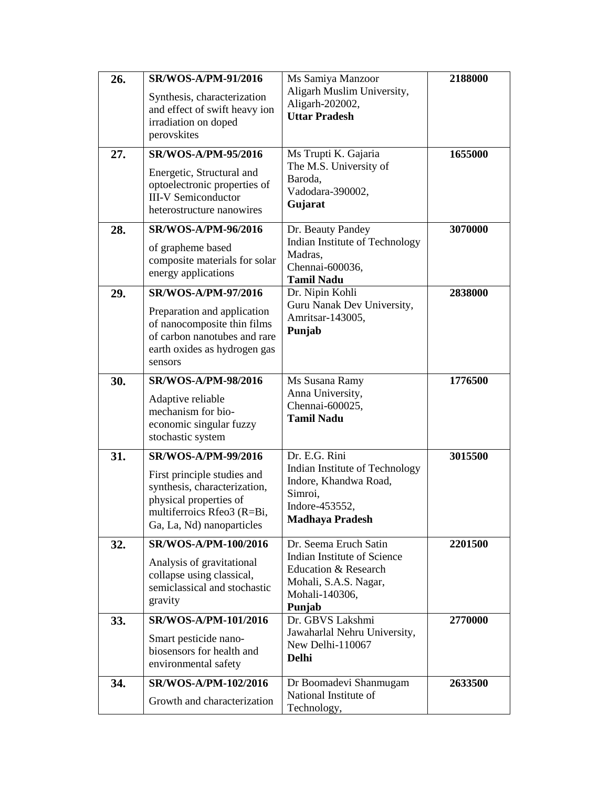| 26. | <b>SR/WOS-A/PM-91/2016</b><br>Synthesis, characterization<br>and effect of swift heavy ion<br>irradiation on doped<br>perovskites                                              | Ms Samiya Manzoor<br>Aligarh Muslim University,<br>Aligarh-202002,<br><b>Uttar Pradesh</b>                                        | 2188000 |
|-----|--------------------------------------------------------------------------------------------------------------------------------------------------------------------------------|-----------------------------------------------------------------------------------------------------------------------------------|---------|
| 27. | <b>SR/WOS-A/PM-95/2016</b><br>Energetic, Structural and<br>optoelectronic properties of<br><b>III-V</b> Semiconductor<br>heterostructure nanowires                             | Ms Trupti K. Gajaria<br>The M.S. University of<br>Baroda,<br>Vadodara-390002,<br>Gujarat                                          | 1655000 |
| 28. | SR/WOS-A/PM-96/2016<br>of grapheme based<br>composite materials for solar<br>energy applications                                                                               | Dr. Beauty Pandey<br>Indian Institute of Technology<br>Madras,<br>Chennai-600036,<br><b>Tamil Nadu</b>                            | 3070000 |
| 29. | <b>SR/WOS-A/PM-97/2016</b><br>Preparation and application<br>of nanocomposite thin films<br>of carbon nanotubes and rare<br>earth oxides as hydrogen gas<br>sensors            | Dr. Nipin Kohli<br>Guru Nanak Dev University,<br>Amritsar-143005,<br>Punjab                                                       | 2838000 |
| 30. | <b>SR/WOS-A/PM-98/2016</b><br>Adaptive reliable<br>mechanism for bio-<br>economic singular fuzzy<br>stochastic system                                                          | Ms Susana Ramy<br>Anna University,<br>Chennai-600025,<br><b>Tamil Nadu</b>                                                        | 1776500 |
| 31. | <b>SR/WOS-A/PM-99/2016</b><br>First principle studies and<br>synthesis, characterization,<br>physical properties of<br>multiferroics Rfeo3 (R=Bi,<br>Ga, La, Nd) nanoparticles | Dr. E.G. Rini<br>Indian Institute of Technology<br>Indore, Khandwa Road,<br>Simroi,<br>Indore-453552,<br>Madhaya Pradesh          | 3015500 |
| 32. | SR/WOS-A/PM-100/2016<br>Analysis of gravitational<br>collapse using classical,<br>semiclassical and stochastic<br>gravity                                                      | Dr. Seema Eruch Satin<br>Indian Institute of Science<br>Education & Research<br>Mohali, S.A.S. Nagar,<br>Mohali-140306,<br>Punjab | 2201500 |
| 33. | SR/WOS-A/PM-101/2016<br>Smart pesticide nano-<br>biosensors for health and<br>environmental safety                                                                             | Dr. GBVS Lakshmi<br>Jawaharlal Nehru University,<br>New Delhi-110067<br><b>Delhi</b>                                              | 2770000 |
| 34. | SR/WOS-A/PM-102/2016<br>Growth and characterization                                                                                                                            | Dr Boomadevi Shanmugam<br>National Institute of<br>Technology,                                                                    | 2633500 |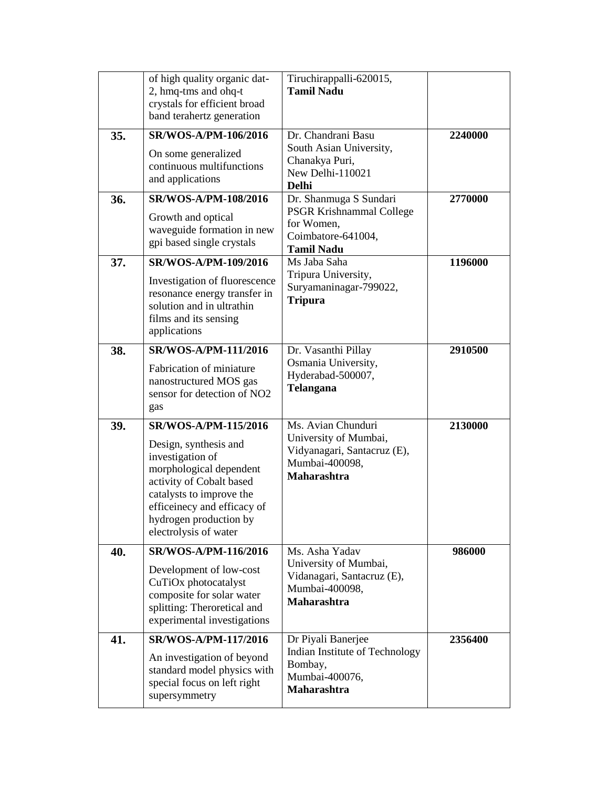|     | of high quality organic dat-<br>2, hmq-tms and ohq-t<br>crystals for efficient broad<br>band terahertz generation                                                                                                                      | Tiruchirappalli-620015,<br><b>Tamil Nadu</b>                                                                       |         |
|-----|----------------------------------------------------------------------------------------------------------------------------------------------------------------------------------------------------------------------------------------|--------------------------------------------------------------------------------------------------------------------|---------|
| 35. | SR/WOS-A/PM-106/2016<br>On some generalized<br>continuous multifunctions<br>and applications                                                                                                                                           | Dr. Chandrani Basu<br>South Asian University,<br>Chanakya Puri,<br>New Delhi-110021<br><b>Delhi</b>                | 2240000 |
| 36. | SR/WOS-A/PM-108/2016<br>Growth and optical<br>waveguide formation in new<br>gpi based single crystals                                                                                                                                  | Dr. Shanmuga S Sundari<br><b>PSGR Krishnammal College</b><br>for Women,<br>Coimbatore-641004,<br><b>Tamil Nadu</b> | 2770000 |
| 37. | SR/WOS-A/PM-109/2016<br>Investigation of fluorescence<br>resonance energy transfer in<br>solution and in ultrathin<br>films and its sensing<br>applications                                                                            | Ms Jaba Saha<br>Tripura University,<br>Suryamaninagar-799022,<br><b>Tripura</b>                                    | 1196000 |
| 38. | SR/WOS-A/PM-111/2016<br>Fabrication of miniature<br>nanostructured MOS gas<br>sensor for detection of NO2<br>gas                                                                                                                       | Dr. Vasanthi Pillay<br>Osmania University,<br>Hyderabad-500007,<br><b>Telangana</b>                                | 2910500 |
| 39. | SR/WOS-A/PM-115/2016<br>Design, synthesis and<br>investigation of<br>morphological dependent<br>activity of Cobalt based<br>catalysts to improve the<br>efficeinecy and efficacy of<br>hydrogen production by<br>electrolysis of water | Ms. Avian Chunduri<br>University of Mumbai,<br>Vidyanagari, Santacruz (E),<br>Mumbai-400098,<br><b>Maharashtra</b> | 2130000 |
| 40. | SR/WOS-A/PM-116/2016<br>Development of low-cost<br>CuTiOx photocatalyst<br>composite for solar water<br>splitting: Theroretical and<br>experimental investigations                                                                     | Ms. Asha Yadav<br>University of Mumbai,<br>Vidanagari, Santacruz (E),<br>Mumbai-400098,<br><b>Maharashtra</b>      | 986000  |
| 41. | SR/WOS-A/PM-117/2016<br>An investigation of beyond<br>standard model physics with<br>special focus on left right<br>supersymmetry                                                                                                      | Dr Piyali Banerjee<br>Indian Institute of Technology<br>Bombay,<br>Mumbai-400076,<br>Maharashtra                   | 2356400 |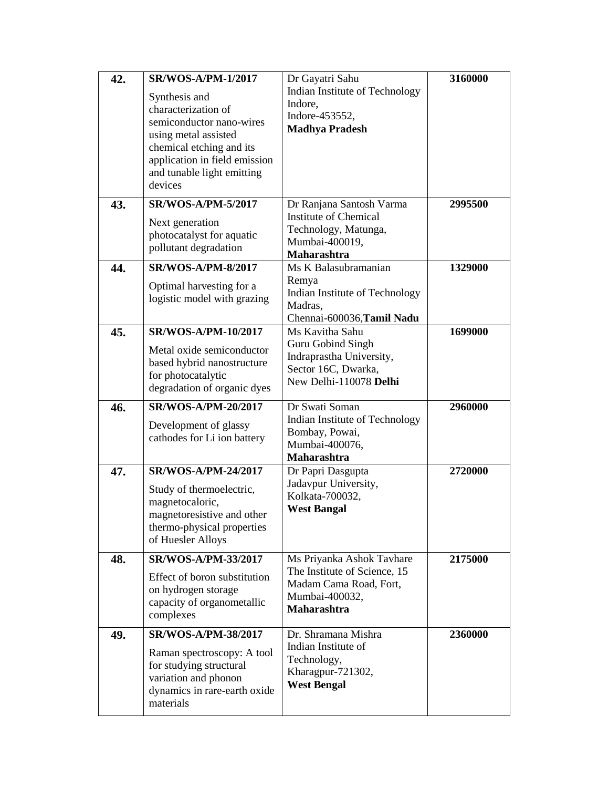| 42. | <b>SR/WOS-A/PM-1/2017</b><br>Synthesis and<br>characterization of<br>semiconductor nano-wires<br>using metal assisted<br>chemical etching and its   | Dr Gayatri Sahu<br>Indian Institute of Technology<br>Indore,<br>Indore-453552,<br><b>Madhya Pradesh</b>                     | 3160000 |
|-----|-----------------------------------------------------------------------------------------------------------------------------------------------------|-----------------------------------------------------------------------------------------------------------------------------|---------|
|     | application in field emission<br>and tunable light emitting<br>devices                                                                              |                                                                                                                             |         |
| 43. | <b>SR/WOS-A/PM-5/2017</b><br>Next generation<br>photocatalyst for aquatic<br>pollutant degradation                                                  | Dr Ranjana Santosh Varma<br><b>Institute of Chemical</b><br>Technology, Matunga,<br>Mumbai-400019,<br>Maharashtra           | 2995500 |
| 44. | <b>SR/WOS-A/PM-8/2017</b><br>Optimal harvesting for a<br>logistic model with grazing                                                                | Ms K Balasubramanian<br>Remya<br>Indian Institute of Technology<br>Madras,<br>Chennai-600036, Tamil Nadu                    | 1329000 |
| 45. | SR/WOS-A/PM-10/2017<br>Metal oxide semiconductor<br>based hybrid nanostructure<br>for photocatalytic<br>degradation of organic dyes                 | Ms Kavitha Sahu<br>Guru Gobind Singh<br>Indraprastha University,<br>Sector 16C, Dwarka,<br>New Delhi-110078 Delhi           | 1699000 |
| 46. | SR/WOS-A/PM-20/2017<br>Development of glassy<br>cathodes for Li ion battery                                                                         | Dr Swati Soman<br>Indian Institute of Technology<br>Bombay, Powai,<br>Mumbai-400076,<br><b>Maharashtra</b>                  | 2960000 |
| 47. | SR/WOS-A/PM-24/2017<br>Study of thermoelectric,<br>magnetocaloric,<br>magnetoresistive and other<br>thermo-physical properties<br>of Huesler Alloys | Dr Papri Dasgupta<br>Jadavpur University,<br>Kolkata-700032,<br><b>West Bangal</b>                                          | 2720000 |
| 48. | SR/WOS-A/PM-33/2017<br>Effect of boron substitution<br>on hydrogen storage<br>capacity of organometallic<br>complexes                               | Ms Priyanka Ashok Tavhare<br>The Institute of Science, 15<br>Madam Cama Road, Fort,<br>Mumbai-400032,<br><b>Maharashtra</b> | 2175000 |
| 49. | SR/WOS-A/PM-38/2017<br>Raman spectroscopy: A tool<br>for studying structural<br>variation and phonon<br>dynamics in rare-earth oxide<br>materials   | Dr. Shramana Mishra<br>Indian Institute of<br>Technology,<br>Kharagpur-721302,<br><b>West Bengal</b>                        | 2360000 |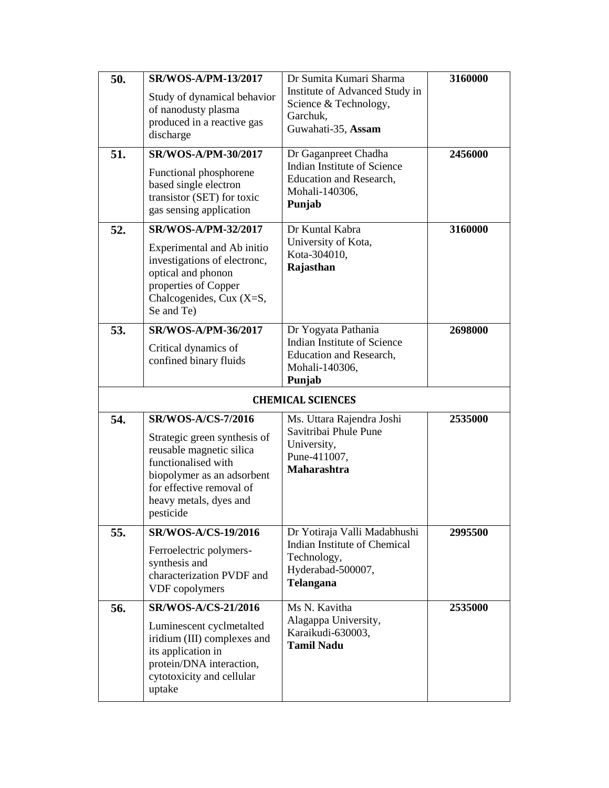| 50. | <b>SR/WOS-A/PM-13/2017</b>                                                                                                                                                                                    | Dr Sumita Kumari Sharma                                                                                           | 3160000 |
|-----|---------------------------------------------------------------------------------------------------------------------------------------------------------------------------------------------------------------|-------------------------------------------------------------------------------------------------------------------|---------|
|     | Study of dynamical behavior<br>of nanodusty plasma<br>produced in a reactive gas<br>discharge                                                                                                                 | Institute of Advanced Study in<br>Science & Technology,<br>Garchuk,<br>Guwahati-35, Assam                         |         |
|     |                                                                                                                                                                                                               |                                                                                                                   |         |
| 51. | <b>SR/WOS-A/PM-30/2017</b><br>Functional phosphorene<br>based single electron<br>transistor (SET) for toxic<br>gas sensing application                                                                        | Dr Gaganpreet Chadha<br>Indian Institute of Science<br><b>Education and Research,</b><br>Mohali-140306,<br>Punjab | 2456000 |
| 52. | SR/WOS-A/PM-32/2017                                                                                                                                                                                           | Dr Kuntal Kabra                                                                                                   | 3160000 |
|     | Experimental and Ab initio<br>investigations of electronc,<br>optical and phonon<br>properties of Copper<br>Chalcogenides, Cux (X=S,<br>Se and Te)                                                            | University of Kota,<br>Kota-304010,<br>Rajasthan                                                                  |         |
| 53. | SR/WOS-A/PM-36/2017                                                                                                                                                                                           | Dr Yogyata Pathania                                                                                               | 2698000 |
|     | Critical dynamics of<br>confined binary fluids                                                                                                                                                                | Indian Institute of Science<br>Education and Research,<br>Mohali-140306,<br>Punjab                                |         |
|     |                                                                                                                                                                                                               | <b>CHEMICAL SCIENCES</b>                                                                                          |         |
| 54. | <b>SR/WOS-A/CS-7/2016</b><br>Strategic green synthesis of<br>reusable magnetic silica<br>functionalised with<br>biopolymer as an adsorbent<br>for effective removal of<br>heavy metals, dyes and<br>pesticide | Ms. Uttara Rajendra Joshi<br>Savitribai Phule Pune<br>University,<br>Pune-411007,<br>Maharashtra                  | 2535000 |
| 55. | <b>SR/WOS-A/CS-19/2016</b>                                                                                                                                                                                    | Dr Yotiraja Valli Madabhushi                                                                                      | 2995500 |
|     | Ferroelectric polymers-<br>synthesis and<br>characterization PVDF and<br>VDF copolymers                                                                                                                       | Indian Institute of Chemical<br>Technology,<br>Hyderabad-500007,<br><b>Telangana</b>                              |         |
| 56. | <b>SR/WOS-A/CS-21/2016</b>                                                                                                                                                                                    | Ms N. Kavitha                                                                                                     | 2535000 |
|     | Luminescent cyclmetalted<br>iridium (III) complexes and<br>its application in<br>protein/DNA interaction,<br>cytotoxicity and cellular<br>uptake                                                              | Alagappa University,<br>Karaikudi-630003,<br><b>Tamil Nadu</b>                                                    |         |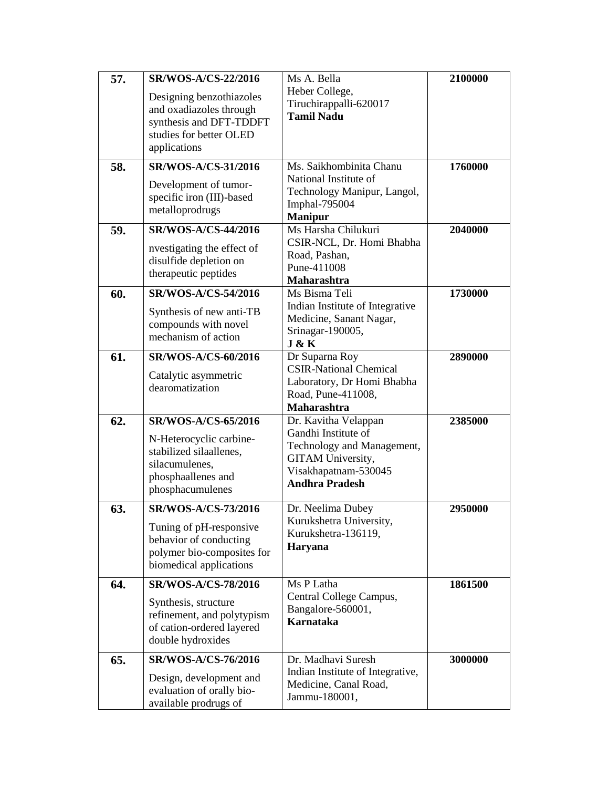| 57.<br>58. | SR/WOS-A/CS-22/2016<br>Designing benzothiazoles<br>and oxadiazoles through<br>synthesis and DFT-TDDFT<br>studies for better OLED<br>applications<br>SR/WOS-A/CS-31/2016<br>Development of tumor-<br>specific iron (III)-based<br>metalloprodrugs | Ms A. Bella<br>Heber College,<br>Tiruchirappalli-620017<br><b>Tamil Nadu</b><br>Ms. Saikhombinita Chanu<br>National Institute of<br>Technology Manipur, Langol,<br>Imphal-795004<br><b>Manipur</b> | 2100000<br>1760000 |
|------------|--------------------------------------------------------------------------------------------------------------------------------------------------------------------------------------------------------------------------------------------------|----------------------------------------------------------------------------------------------------------------------------------------------------------------------------------------------------|--------------------|
| 59.        | <b>SR/WOS-A/CS-44/2016</b><br>nvestigating the effect of<br>disulfide depletion on<br>therapeutic peptides                                                                                                                                       | Ms Harsha Chilukuri<br>CSIR-NCL, Dr. Homi Bhabha<br>Road, Pashan,<br>Pune-411008<br>Maharashtra                                                                                                    | 2040000            |
| 60.        | <b>SR/WOS-A/CS-54/2016</b><br>Synthesis of new anti-TB<br>compounds with novel<br>mechanism of action                                                                                                                                            | Ms Bisma Teli<br>Indian Institute of Integrative<br>Medicine, Sanant Nagar,<br>Srinagar-190005,<br>J & K                                                                                           | 1730000            |
| 61.        | <b>SR/WOS-A/CS-60/2016</b><br>Catalytic asymmetric<br>dearomatization                                                                                                                                                                            | Dr Suparna Roy<br><b>CSIR-National Chemical</b><br>Laboratory, Dr Homi Bhabha<br>Road, Pune-411008,<br>Maharashtra                                                                                 | 2890000            |
| 62.        | <b>SR/WOS-A/CS-65/2016</b><br>N-Heterocyclic carbine-<br>stabilized silaallenes,<br>silacumulenes,<br>phosphaallenes and<br>phosphacumulenes                                                                                                     | Dr. Kavitha Velappan<br>Gandhi Institute of<br>Technology and Management,<br>GITAM University,<br>Visakhapatnam-530045<br><b>Andhra Pradesh</b>                                                    | 2385000            |
| 63.        | <b>SR/WOS-A/CS-73/2016</b><br>Tuning of pH-responsive<br>behavior of conducting<br>polymer bio-composites for<br>biomedical applications                                                                                                         | Dr. Neelima Dubey<br>Kurukshetra University,<br>Kurukshetra-136119,<br>Haryana                                                                                                                     | 2950000            |
| 64.        | SR/WOS-A/CS-78/2016<br>Synthesis, structure<br>refinement, and polytypism<br>of cation-ordered layered<br>double hydroxides                                                                                                                      | Ms P Latha<br>Central College Campus,<br>Bangalore-560001,<br><b>Karnataka</b>                                                                                                                     | 1861500            |
| 65.        | <b>SR/WOS-A/CS-76/2016</b><br>Design, development and<br>evaluation of orally bio-<br>available prodrugs of                                                                                                                                      | Dr. Madhavi Suresh<br>Indian Institute of Integrative,<br>Medicine, Canal Road,<br>Jammu-180001,                                                                                                   | 3000000            |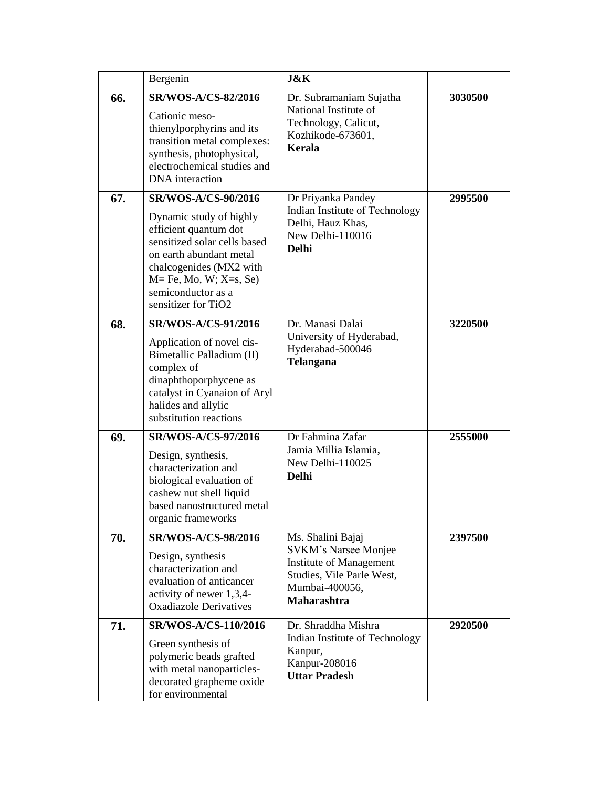|     | Bergenin                                                                                                                                                                                                                                 | <b>J&amp;K</b>                                                                                                                                   |         |
|-----|------------------------------------------------------------------------------------------------------------------------------------------------------------------------------------------------------------------------------------------|--------------------------------------------------------------------------------------------------------------------------------------------------|---------|
| 66. | <b>SR/WOS-A/CS-82/2016</b><br>Cationic meso-<br>thienylporphyrins and its<br>transition metal complexes:<br>synthesis, photophysical,<br>electrochemical studies and<br>DNA interaction                                                  | Dr. Subramaniam Sujatha<br>National Institute of<br>Technology, Calicut,<br>Kozhikode-673601,<br>Kerala                                          | 3030500 |
| 67. | SR/WOS-A/CS-90/2016<br>Dynamic study of highly<br>efficient quantum dot<br>sensitized solar cells based<br>on earth abundant metal<br>chalcogenides (MX2 with<br>$M = Fe$ , Mo, W; X=s, Se)<br>semiconductor as a<br>sensitizer for TiO2 | Dr Priyanka Pandey<br>Indian Institute of Technology<br>Delhi, Hauz Khas,<br>New Delhi-110016<br><b>Delhi</b>                                    | 2995500 |
| 68. | <b>SR/WOS-A/CS-91/2016</b><br>Application of novel cis-<br>Bimetallic Palladium (II)<br>complex of<br>dinaphthoporphycene as<br>catalyst in Cyanaion of Aryl<br>halides and allylic<br>substitution reactions                            | Dr. Manasi Dalai<br>University of Hyderabad,<br>Hyderabad-500046<br>Telangana                                                                    | 3220500 |
| 69. | SR/WOS-A/CS-97/2016<br>Design, synthesis,<br>characterization and<br>biological evaluation of<br>cashew nut shell liquid<br>based nanostructured metal<br>organic frameworks                                                             | Dr Fahmina Zafar<br>Jamia Millia Islamia,<br>New Delhi-110025<br><b>Delhi</b>                                                                    | 2555000 |
| 70. | <b>SR/WOS-A/CS-98/2016</b><br>Design, synthesis<br>characterization and<br>evaluation of anticancer<br>activity of newer 1,3,4-<br><b>Oxadiazole Derivatives</b>                                                                         | Ms. Shalini Bajaj<br>SVKM's Narsee Monjee<br><b>Institute of Management</b><br>Studies, Vile Parle West,<br>Mumbai-400056,<br><b>Maharashtra</b> | 2397500 |
| 71. | SR/WOS-A/CS-110/2016<br>Green synthesis of<br>polymeric beads grafted<br>with metal nanoparticles-<br>decorated grapheme oxide<br>for environmental                                                                                      | Dr. Shraddha Mishra<br>Indian Institute of Technology<br>Kanpur,<br>Kanpur-208016<br><b>Uttar Pradesh</b>                                        | 2920500 |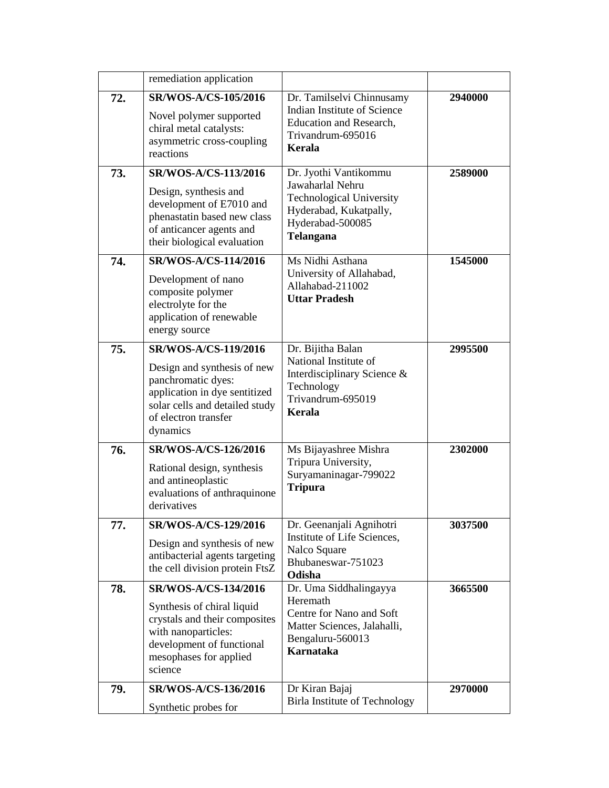|     | remediation application                                                                                                                                  |                                                                                                                                  |         |
|-----|----------------------------------------------------------------------------------------------------------------------------------------------------------|----------------------------------------------------------------------------------------------------------------------------------|---------|
|     |                                                                                                                                                          |                                                                                                                                  |         |
| 72. | <b>SR/WOS-A/CS-105/2016</b><br>Novel polymer supported<br>chiral metal catalysts:<br>asymmetric cross-coupling<br>reactions                              | Dr. Tamilselvi Chinnusamy<br>Indian Institute of Science<br><b>Education and Research,</b><br>Trivandrum-695016<br><b>Kerala</b> | 2940000 |
| 73. | SR/WOS-A/CS-113/2016                                                                                                                                     | Dr. Jyothi Vantikommu<br>Jawaharlal Nehru                                                                                        | 2589000 |
|     | Design, synthesis and<br>development of E7010 and<br>phenastatin based new class<br>of anticancer agents and<br>their biological evaluation              | <b>Technological University</b><br>Hyderabad, Kukatpally,<br>Hyderabad-500085<br>Telangana                                       |         |
| 74. | <b>SR/WOS-A/CS-114/2016</b>                                                                                                                              | Ms Nidhi Asthana                                                                                                                 | 1545000 |
|     | Development of nano<br>composite polymer<br>electrolyte for the<br>application of renewable<br>energy source                                             | University of Allahabad,<br>Allahabad-211002<br><b>Uttar Pradesh</b>                                                             |         |
| 75. | SR/WOS-A/CS-119/2016                                                                                                                                     | Dr. Bijitha Balan                                                                                                                | 2995500 |
|     | Design and synthesis of new<br>panchromatic dyes:<br>application in dye sentitized<br>solar cells and detailed study<br>of electron transfer<br>dynamics | National Institute of<br>Interdisciplinary Science &<br>Technology<br>Trivandrum-695019<br><b>Kerala</b>                         |         |
| 76. | <b>SR/WOS-A/CS-126/2016</b>                                                                                                                              | Ms Bijayashree Mishra                                                                                                            | 2302000 |
|     | Rational design, synthesis<br>and antineoplastic<br>evaluations of anthraquinone<br>derivatives                                                          | Tripura University,<br>Suryamaninagar-799022<br><b>Tripura</b>                                                                   |         |
| 77. | SR/WOS-A/CS-129/2016                                                                                                                                     | Dr. Geenanjali Agnihotri                                                                                                         | 3037500 |
|     | Design and synthesis of new<br>antibacterial agents targeting<br>the cell division protein FtsZ                                                          | Institute of Life Sciences,<br>Nalco Square<br>Bhubaneswar-751023<br>Odisha                                                      |         |
| 78. | SR/WOS-A/CS-134/2016                                                                                                                                     | Dr. Uma Siddhalingayya                                                                                                           | 3665500 |
|     | Synthesis of chiral liquid<br>crystals and their composites<br>with nanoparticles:<br>development of functional<br>mesophases for applied<br>science     | Heremath<br>Centre for Nano and Soft<br>Matter Sciences, Jalahalli,<br>Bengaluru-560013<br><b>Karnataka</b>                      |         |
| 79. | SR/WOS-A/CS-136/2016                                                                                                                                     | Dr Kiran Bajaj<br><b>Birla Institute of Technology</b>                                                                           | 2970000 |
|     | Synthetic probes for                                                                                                                                     |                                                                                                                                  |         |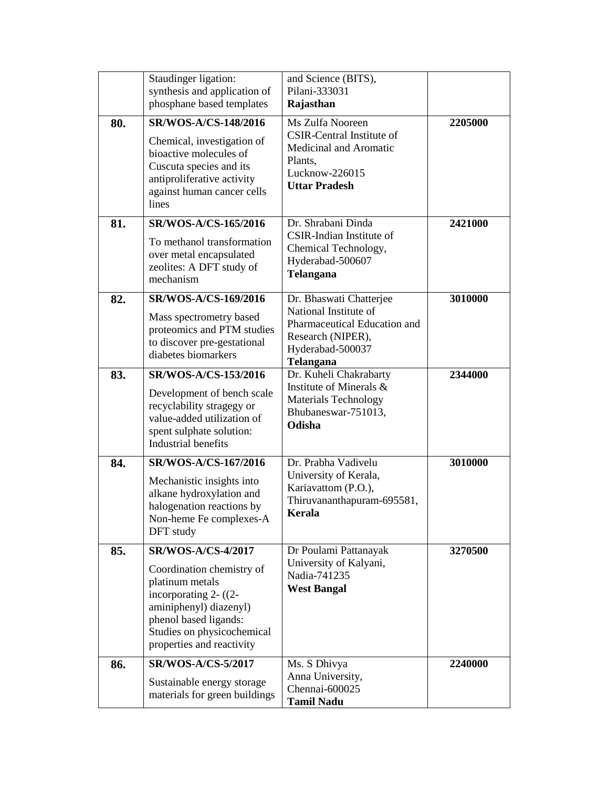|     | Staudinger ligation:<br>synthesis and application of<br>phosphane based templates                                                                                                   | and Science (BITS),<br>Pilani-333031<br>Rajasthan                                                                                      |         |
|-----|-------------------------------------------------------------------------------------------------------------------------------------------------------------------------------------|----------------------------------------------------------------------------------------------------------------------------------------|---------|
| 80. | <b>SR/WOS-A/CS-148/2016</b><br>Chemical, investigation of<br>bioactive molecules of<br>Cuscuta species and its<br>antiproliferative activity<br>against human cancer cells<br>lines | Ms Zulfa Nooreen<br><b>CSIR-Central Institute of</b><br>Medicinal and Aromatic<br>Plants,<br>Lucknow-226015<br><b>Uttar Pradesh</b>    | 2205000 |
| 81. | SR/WOS-A/CS-165/2016<br>To methanol transformation<br>over metal encapsulated<br>zeolites: A DFT study of<br>mechanism                                                              | Dr. Shrabani Dinda<br>CSIR-Indian Institute of<br>Chemical Technology,<br>Hyderabad-500607<br><b>Telangana</b>                         | 2421000 |
| 82. | <b>SR/WOS-A/CS-169/2016</b><br>Mass spectrometry based<br>proteomics and PTM studies<br>to discover pre-gestational<br>diabetes biomarkers                                          | Dr. Bhaswati Chatterjee<br>National Institute of<br>Pharmaceutical Education and<br>Research (NIPER),<br>Hyderabad-500037<br>Telangana | 3010000 |
| 83. | SR/WOS-A/CS-153/2016<br>Development of bench scale<br>recyclability stragegy or<br>value-added utilization of<br>spent sulphate solution:<br>Industrial benefits                    | Dr. Kuheli Chakrabarty<br>Institute of Minerals &<br>Materials Technology<br>Bhubaneswar-751013,<br>Odisha                             | 2344000 |
| 84. | SR/WOS-A/CS-167/2016<br>Mechanistic insights into<br>alkane hydroxylation and<br>halogenation reactions by<br>Non-heme Fe complexes-A<br>DFT study                                  | Dr. Prabha Vadivelu<br>University of Kerala,<br>Kariavattom (P.O.),<br>Thiruvananthapuram-695581,<br>Kerala                            | 3010000 |
| 85. | <b>SR/WOS-A/CS-4/2017</b>                                                                                                                                                           | Dr Poulami Pattanayak                                                                                                                  | 3270500 |
|     | Coordination chemistry of<br>platinum metals<br>incorporating $2-(2-$<br>aminiphenyl) diazenyl)<br>phenol based ligands:<br>Studies on physicochemical<br>properties and reactivity | University of Kalyani,<br>Nadia-741235<br><b>West Bangal</b>                                                                           |         |
| 86. | <b>SR/WOS-A/CS-5/2017</b><br>Sustainable energy storage<br>materials for green buildings                                                                                            | Ms. S Dhivya<br>Anna University,<br>Chennai-600025<br><b>Tamil Nadu</b>                                                                | 2240000 |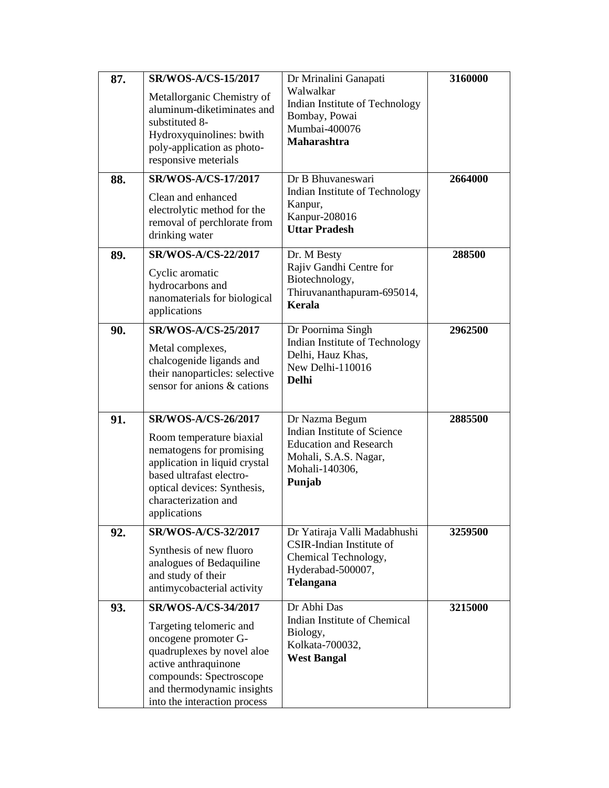| 87. | <b>SR/WOS-A/CS-15/2017</b>                                                                                                                                                                                      | Dr Mrinalini Ganapati                                                                                                               | 3160000 |
|-----|-----------------------------------------------------------------------------------------------------------------------------------------------------------------------------------------------------------------|-------------------------------------------------------------------------------------------------------------------------------------|---------|
|     | Metallorganic Chemistry of<br>aluminum-diketiminates and<br>substituted 8-<br>Hydroxyquinolines: bwith<br>poly-application as photo-                                                                            | Walwalkar<br>Indian Institute of Technology<br>Bombay, Powai<br>Mumbai-400076<br><b>Maharashtra</b>                                 |         |
|     | responsive meterials                                                                                                                                                                                            |                                                                                                                                     |         |
| 88. | <b>SR/WOS-A/CS-17/2017</b>                                                                                                                                                                                      | Dr B Bhuvaneswari<br>Indian Institute of Technology                                                                                 | 2664000 |
|     | Clean and enhanced<br>electrolytic method for the<br>removal of perchlorate from<br>drinking water                                                                                                              | Kanpur,<br>Kanpur-208016<br><b>Uttar Pradesh</b>                                                                                    |         |
| 89. | SR/WOS-A/CS-22/2017                                                                                                                                                                                             | Dr. M Besty                                                                                                                         | 288500  |
|     | Cyclic aromatic<br>hydrocarbons and<br>nanomaterials for biological<br>applications                                                                                                                             | Rajiv Gandhi Centre for<br>Biotechnology,<br>Thiruvananthapuram-695014,<br>Kerala                                                   |         |
| 90. | <b>SR/WOS-A/CS-25/2017</b><br>Metal complexes,<br>chalcogenide ligands and<br>their nanoparticles: selective<br>sensor for anions & cations                                                                     | Dr Poornima Singh<br>Indian Institute of Technology<br>Delhi, Hauz Khas,<br>New Delhi-110016<br><b>Delhi</b>                        | 2962500 |
| 91. | SR/WOS-A/CS-26/2017<br>Room temperature biaxial<br>nematogens for promising<br>application in liquid crystal<br>based ultrafast electro-<br>optical devices: Synthesis,<br>characterization and<br>applications | Dr Nazma Begum<br>Indian Institute of Science<br><b>Education and Research</b><br>Mohali, S.A.S. Nagar,<br>Mohali-140306,<br>Punjab | 2885500 |
| 92. | SR/WOS-A/CS-32/2017                                                                                                                                                                                             | Dr Yatiraja Valli Madabhushi                                                                                                        | 3259500 |
|     | Synthesis of new fluoro<br>analogues of Bedaquiline<br>and study of their<br>antimycobacterial activity                                                                                                         | CSIR-Indian Institute of<br>Chemical Technology,<br>Hyderabad-500007,<br><b>Telangana</b>                                           |         |
| 93. | SR/WOS-A/CS-34/2017                                                                                                                                                                                             | Dr Abhi Das                                                                                                                         | 3215000 |
|     | Targeting telomeric and<br>oncogene promoter G-<br>quadruplexes by novel aloe<br>active anthraquinone<br>compounds: Spectroscope<br>and thermodynamic insights<br>into the interaction process                  | Indian Institute of Chemical<br>Biology,<br>Kolkata-700032,<br><b>West Bangal</b>                                                   |         |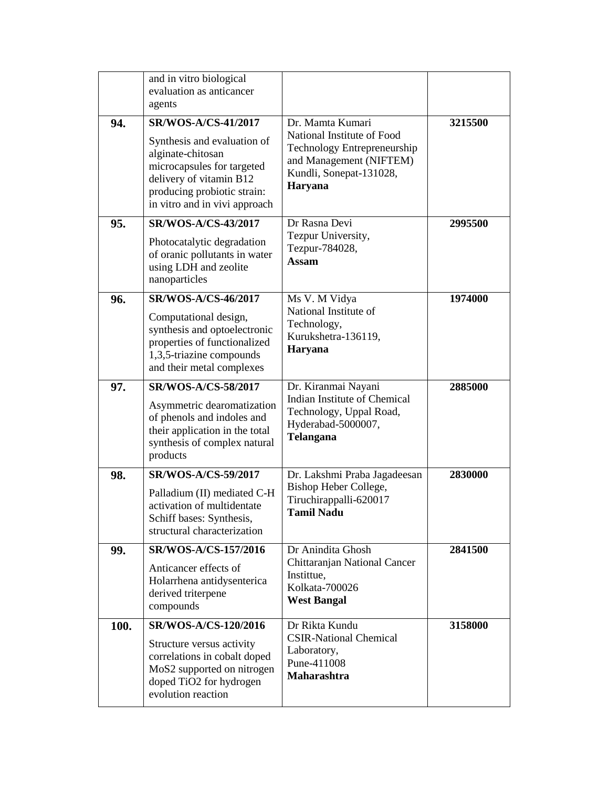|      | and in vitro biological<br>evaluation as anticancer<br>agents                                                                                                                                           |                                                                                                                                                |         |
|------|---------------------------------------------------------------------------------------------------------------------------------------------------------------------------------------------------------|------------------------------------------------------------------------------------------------------------------------------------------------|---------|
| 94.  | <b>SR/WOS-A/CS-41/2017</b><br>Synthesis and evaluation of<br>alginate-chitosan<br>microcapsules for targeted<br>delivery of vitamin B12<br>producing probiotic strain:<br>in vitro and in vivi approach | Dr. Mamta Kumari<br>National Institute of Food<br>Technology Entrepreneurship<br>and Management (NIFTEM)<br>Kundli, Sonepat-131028,<br>Haryana | 3215500 |
| 95.  | <b>SR/WOS-A/CS-43/2017</b><br>Photocatalytic degradation<br>of oranic pollutants in water<br>using LDH and zeolite<br>nanoparticles                                                                     | Dr Rasna Devi<br>Tezpur University,<br>Tezpur-784028,<br><b>Assam</b>                                                                          | 2995500 |
| 96.  | <b>SR/WOS-A/CS-46/2017</b><br>Computational design,<br>synthesis and optoelectronic<br>properties of functionalized<br>1,3,5-triazine compounds<br>and their metal complexes                            | Ms V. M Vidya<br>National Institute of<br>Technology,<br>Kurukshetra-136119,<br>Haryana                                                        | 1974000 |
| 97.  | SR/WOS-A/CS-58/2017<br>Asymmetric dearomatization<br>of phenols and indoles and<br>their application in the total<br>synthesis of complex natural<br>products                                           | Dr. Kiranmai Nayani<br>Indian Institute of Chemical<br>Technology, Uppal Road,<br>Hyderabad-5000007,<br>Telangana                              | 2885000 |
| 98.  | SR/WOS-A/CS-59/2017<br>Palladium (II) mediated C-H<br>activation of multidentate<br>Schiff bases: Synthesis,<br>structural characterization                                                             | Dr. Lakshmi Praba Jagadeesan<br>Bishop Heber College,<br>Tiruchirappalli-620017<br><b>Tamil Nadu</b>                                           | 2830000 |
| 99.  | <b>SR/WOS-A/CS-157/2016</b><br>Anticancer effects of<br>Holarrhena antidysenterica<br>derived triterpene<br>compounds                                                                                   | Dr Anindita Ghosh<br>Chittaranjan National Cancer<br>Instittue,<br>Kolkata-700026<br><b>West Bangal</b>                                        | 2841500 |
| 100. | SR/WOS-A/CS-120/2016<br>Structure versus activity<br>correlations in cobalt doped<br>MoS2 supported on nitrogen<br>doped TiO2 for hydrogen<br>evolution reaction                                        | Dr Rikta Kundu<br><b>CSIR-National Chemical</b><br>Laboratory,<br>Pune-411008<br><b>Maharashtra</b>                                            | 3158000 |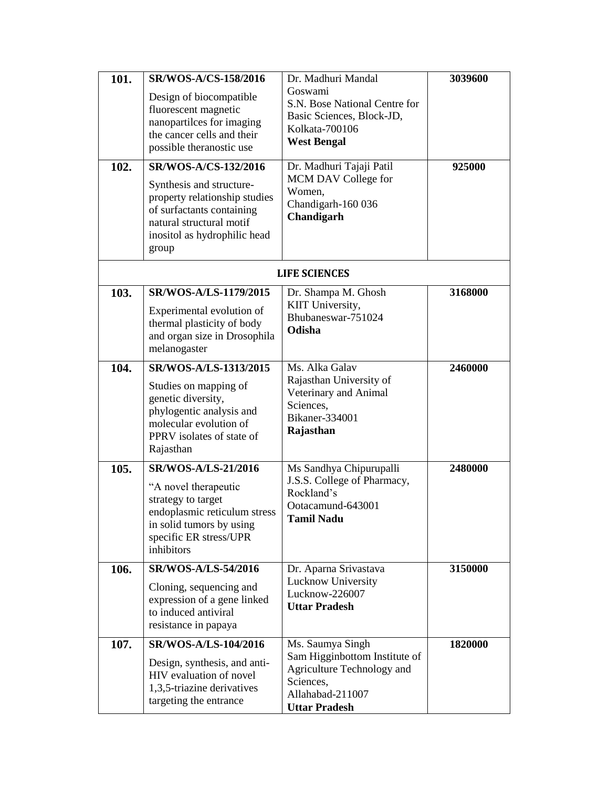| 101.<br>102. | SR/WOS-A/CS-158/2016<br>Design of biocompatible<br>fluorescent magnetic<br>nanopartilces for imaging<br>the cancer cells and their<br>possible theranostic use<br>SR/WOS-A/CS-132/2016<br>Synthesis and structure- | Dr. Madhuri Mandal<br>Goswami<br>S.N. Bose National Centre for<br>Basic Sciences, Block-JD,<br>Kolkata-700106<br><b>West Bengal</b><br>Dr. Madhuri Tajaji Patil<br>MCM DAV College for<br>Women, | 3039600<br>925000 |
|--------------|--------------------------------------------------------------------------------------------------------------------------------------------------------------------------------------------------------------------|--------------------------------------------------------------------------------------------------------------------------------------------------------------------------------------------------|-------------------|
|              | property relationship studies<br>of surfactants containing<br>natural structural motif<br>inositol as hydrophilic head<br>group                                                                                    | Chandigarh-160 036<br>Chandigarh                                                                                                                                                                 |                   |
|              |                                                                                                                                                                                                                    | <b>LIFE SCIENCES</b>                                                                                                                                                                             |                   |
| 103.         | SR/WOS-A/LS-1179/2015<br>Experimental evolution of<br>thermal plasticity of body<br>and organ size in Drosophila<br>melanogaster                                                                                   | Dr. Shampa M. Ghosh<br>KIIT University,<br>Bhubaneswar-751024<br>Odisha                                                                                                                          | 3168000           |
| 104.         | SR/WOS-A/LS-1313/2015<br>Studies on mapping of<br>genetic diversity,<br>phylogentic analysis and<br>molecular evolution of<br>PPRV isolates of state of<br>Rajasthan                                               | Ms. Alka Galav<br>Rajasthan University of<br>Veterinary and Animal<br>Sciences,<br>Bikaner-334001<br>Rajasthan                                                                                   | 2460000           |
| 105.         | <b>SR/WOS-A/LS-21/2016</b><br>"A novel therapeutic<br>strategy to target<br>endoplasmic reticulum stress<br>in solid tumors by using<br>specific ER stress/UPR<br>inhibitors                                       | Ms Sandhya Chipurupalli<br>J.S.S. College of Pharmacy,<br>Rockland's<br>Ootacamund-643001<br><b>Tamil Nadu</b>                                                                                   | 2480000           |
| 106.         | <b>SR/WOS-A/LS-54/2016</b><br>Cloning, sequencing and<br>expression of a gene linked<br>to induced antiviral<br>resistance in papaya                                                                               | Dr. Aparna Srivastava<br>Lucknow University<br>Lucknow-226007<br><b>Uttar Pradesh</b>                                                                                                            | 3150000           |
| 107.         | <b>SR/WOS-A/LS-104/2016</b><br>Design, synthesis, and anti-<br>HIV evaluation of novel<br>1,3,5-triazine derivatives<br>targeting the entrance                                                                     | Ms. Saumya Singh<br>Sam Higginbottom Institute of<br>Agriculture Technology and<br>Sciences,<br>Allahabad-211007<br><b>Uttar Pradesh</b>                                                         | 1820000           |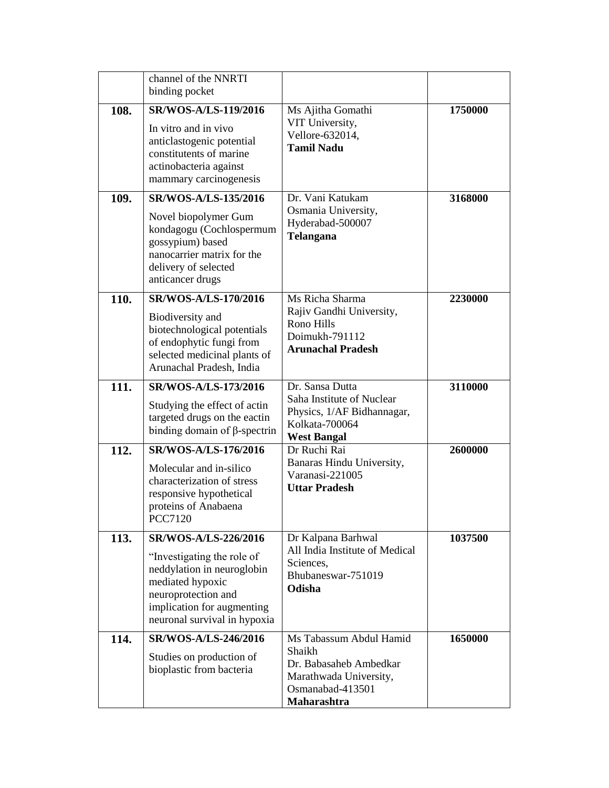|      | channel of the NNRTI<br>binding pocket                                                                                                                                                    |                                                                                                                          |         |
|------|-------------------------------------------------------------------------------------------------------------------------------------------------------------------------------------------|--------------------------------------------------------------------------------------------------------------------------|---------|
| 108. | <b>SR/WOS-A/LS-119/2016</b><br>In vitro and in vivo<br>anticlastogenic potential<br>constitutents of marine<br>actinobacteria against<br>mammary carcinogenesis                           | Ms Ajitha Gomathi<br>VIT University,<br>Vellore-632014,<br><b>Tamil Nadu</b>                                             | 1750000 |
| 109. | <b>SR/WOS-A/LS-135/2016</b><br>Novel biopolymer Gum<br>kondagogu (Cochlospermum<br>gossypium) based<br>nanocarrier matrix for the<br>delivery of selected<br>anticancer drugs             | Dr. Vani Katukam<br>Osmania University,<br>Hyderabad-500007<br><b>Telangana</b>                                          | 3168000 |
| 110. | SR/WOS-A/LS-170/2016<br>Biodiversity and<br>biotechnological potentials<br>of endophytic fungi from<br>selected medicinal plants of<br>Arunachal Pradesh, India                           | Ms Richa Sharma<br>Rajiv Gandhi University,<br>Rono Hills<br>Doimukh-791112<br><b>Arunachal Pradesh</b>                  | 2230000 |
| 111. | SR/WOS-A/LS-173/2016<br>Studying the effect of actin<br>targeted drugs on the eactin<br>binding domain of $\beta$ -spectrin                                                               | Dr. Sansa Dutta<br>Saha Institute of Nuclear<br>Physics, 1/AF Bidhannagar,<br>Kolkata-700064<br><b>West Bangal</b>       | 3110000 |
| 112. | SR/WOS-A/LS-176/2016<br>Molecular and in-silico<br>characterization of stress<br>responsive hypothetical<br>proteins of Anabaena<br><b>PCC7120</b>                                        | Dr Ruchi Rai<br>Banaras Hindu University,<br>Varanasi-221005<br><b>Uttar Pradesh</b>                                     | 2600000 |
| 113. | SR/WOS-A/LS-226/2016<br>"Investigating the role of<br>neddylation in neuroglobin<br>mediated hypoxic<br>neuroprotection and<br>implication for augmenting<br>neuronal survival in hypoxia | Dr Kalpana Barhwal<br>All India Institute of Medical<br>Sciences,<br>Bhubaneswar-751019<br>Odisha                        | 1037500 |
| 114. | SR/WOS-A/LS-246/2016<br>Studies on production of<br>bioplastic from bacteria                                                                                                              | Ms Tabassum Abdul Hamid<br>Shaikh<br>Dr. Babasaheb Ambedkar<br>Marathwada University,<br>Osmanabad-413501<br>Maharashtra | 1650000 |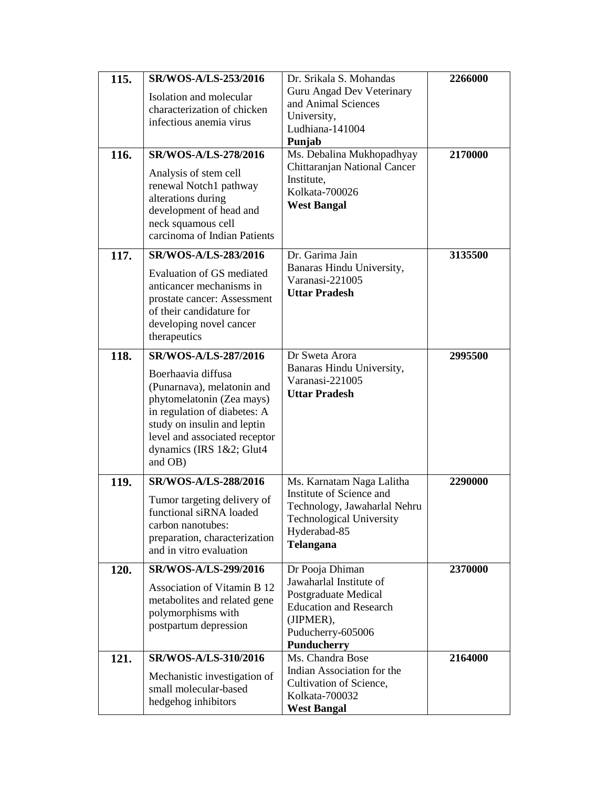| 115.<br>116. | SR/WOS-A/LS-253/2016<br>Isolation and molecular<br>characterization of chicken<br>infectious anemia virus<br>SR/WOS-A/LS-278/2016<br>Analysis of stem cell<br>renewal Notch1 pathway<br>alterations during<br>development of head and<br>neck squamous cell<br>carcinoma of Indian Patients | Dr. Srikala S. Mohandas<br>Guru Angad Dev Veterinary<br>and Animal Sciences<br>University,<br>Ludhiana-141004<br>Punjab<br>Ms. Debalina Mukhopadhyay<br>Chittaranjan National Cancer<br>Institute,<br>Kolkata-700026<br><b>West Bangal</b> | 2266000<br>2170000 |
|--------------|---------------------------------------------------------------------------------------------------------------------------------------------------------------------------------------------------------------------------------------------------------------------------------------------|--------------------------------------------------------------------------------------------------------------------------------------------------------------------------------------------------------------------------------------------|--------------------|
| 117.         | <b>SR/WOS-A/LS-283/2016</b><br>Evaluation of GS mediated<br>anticancer mechanisms in<br>prostate cancer: Assessment<br>of their candidature for<br>developing novel cancer<br>therapeutics                                                                                                  | Dr. Garima Jain<br>Banaras Hindu University,<br>Varanasi-221005<br><b>Uttar Pradesh</b>                                                                                                                                                    | 3135500            |
| 118.         | <b>SR/WOS-A/LS-287/2016</b><br>Boerhaavia diffusa<br>(Punarnava), melatonin and<br>phytomelatonin (Zea mays)<br>in regulation of diabetes: A<br>study on insulin and leptin<br>level and associated receptor<br>dynamics (IRS 1&2; Glut4<br>and OB)                                         | Dr Sweta Arora<br>Banaras Hindu University,<br>Varanasi-221005<br><b>Uttar Pradesh</b>                                                                                                                                                     | 2995500            |
| 119.         | <b>SR/WOS-A/LS-288/2016</b><br>Tumor targeting delivery of<br>functional siRNA loaded<br>carbon nanotubes:<br>preparation, characterization<br>and in vitro evaluation                                                                                                                      | Ms. Karnatam Naga Lalitha<br>Institute of Science and<br>Technology, Jawaharlal Nehru<br><b>Technological University</b><br>Hyderabad-85<br><b>Telangana</b>                                                                               | 2290000            |
| 120.         | SR/WOS-A/LS-299/2016<br>Association of Vitamin B 12<br>metabolites and related gene<br>polymorphisms with<br>postpartum depression                                                                                                                                                          | Dr Pooja Dhiman<br>Jawaharlal Institute of<br>Postgraduate Medical<br><b>Education and Research</b><br>(JIPMER),<br>Puducherry-605006<br><b>Punducherry</b>                                                                                | 2370000            |
| 121.         | SR/WOS-A/LS-310/2016<br>Mechanistic investigation of<br>small molecular-based<br>hedgehog inhibitors                                                                                                                                                                                        | Ms. Chandra Bose<br>Indian Association for the<br>Cultivation of Science,<br>Kolkata-700032<br><b>West Bangal</b>                                                                                                                          | 2164000            |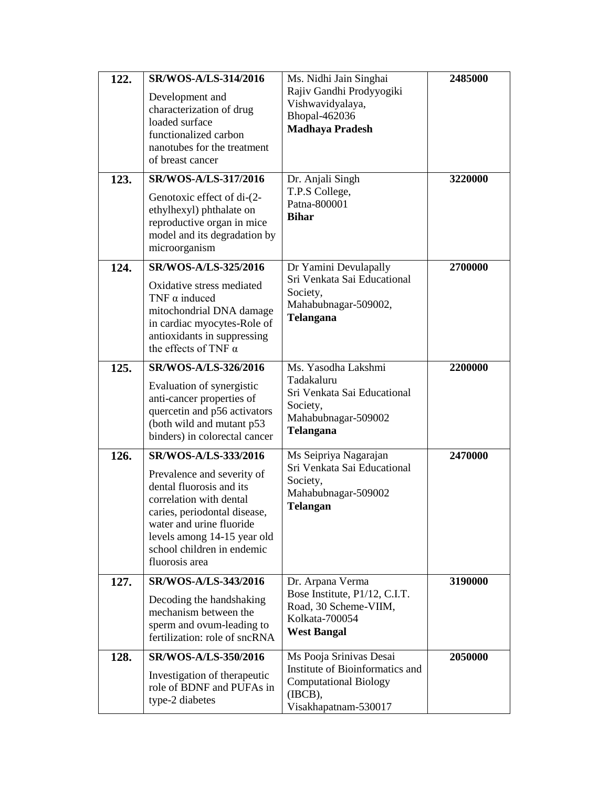| 122.<br>123. | <b>SR/WOS-A/LS-314/2016</b><br>Development and<br>characterization of drug<br>loaded surface<br>functionalized carbon<br>nanotubes for the treatment<br>of breast cancer<br>SR/WOS-A/LS-317/2016<br>Genotoxic effect of di-(2-<br>ethylhexyl) phthalate on<br>reproductive organ in mice<br>model and its degradation by<br>microorganism | Ms. Nidhi Jain Singhai<br>Rajiv Gandhi Prodyyogiki<br>Vishwavidyalaya,<br>Bhopal-462036<br><b>Madhaya Pradesh</b><br>Dr. Anjali Singh<br>T.P.S College,<br>Patna-800001<br><b>Bihar</b> | 2485000<br>3220000 |
|--------------|-------------------------------------------------------------------------------------------------------------------------------------------------------------------------------------------------------------------------------------------------------------------------------------------------------------------------------------------|-----------------------------------------------------------------------------------------------------------------------------------------------------------------------------------------|--------------------|
| 124.         | SR/WOS-A/LS-325/2016<br>Oxidative stress mediated<br>TNF $\alpha$ induced<br>mitochondrial DNA damage<br>in cardiac myocytes-Role of<br>antioxidants in suppressing<br>the effects of TNF $\alpha$                                                                                                                                        | Dr Yamini Devulapally<br>Sri Venkata Sai Educational<br>Society,<br>Mahabubnagar-509002,<br>Telangana                                                                                   | 2700000            |
| 125.         | SR/WOS-A/LS-326/2016<br>Evaluation of synergistic<br>anti-cancer properties of<br>quercetin and p56 activators<br>(both wild and mutant p53<br>binders) in colorectal cancer                                                                                                                                                              | Ms. Yasodha Lakshmi<br>Tadakaluru<br>Sri Venkata Sai Educational<br>Society,<br>Mahabubnagar-509002<br>Telangana                                                                        | 2200000            |
| 126.         | SR/WOS-A/LS-333/2016<br>Prevalence and severity of<br>dental fluorosis and its<br>correlation with dental<br>caries, periodontal disease,<br>water and urine fluoride<br>levels among 14-15 year old<br>school children in endemic<br>fluorosis area                                                                                      | Ms Seipriya Nagarajan<br>Sri Venkata Sai Educational<br>Society,<br>Mahabubnagar-509002<br>Telangan                                                                                     | 2470000            |
| 127.         | SR/WOS-A/LS-343/2016<br>Decoding the handshaking<br>mechanism between the<br>sperm and ovum-leading to<br>fertilization: role of sncRNA                                                                                                                                                                                                   | Dr. Arpana Verma<br>Bose Institute, P1/12, C.I.T.<br>Road, 30 Scheme-VIIM,<br>Kolkata-700054<br><b>West Bangal</b>                                                                      | 3190000            |
| 128.         | SR/WOS-A/LS-350/2016<br>Investigation of therapeutic<br>role of BDNF and PUFAs in<br>type-2 diabetes                                                                                                                                                                                                                                      | Ms Pooja Srinivas Desai<br>Institute of Bioinformatics and<br><b>Computational Biology</b><br>(IBCB),<br>Visakhapatnam-530017                                                           | 2050000            |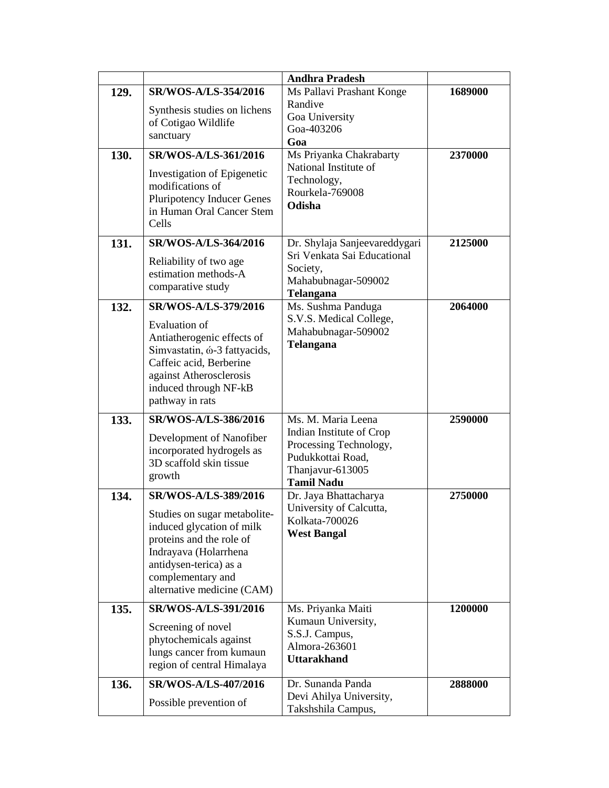|      |                                                                                                                                                                                                                            | <b>Andhra Pradesh</b>                                                                                            |         |
|------|----------------------------------------------------------------------------------------------------------------------------------------------------------------------------------------------------------------------------|------------------------------------------------------------------------------------------------------------------|---------|
| 129. | <b>SR/WOS-A/LS-354/2016</b>                                                                                                                                                                                                | Ms Pallavi Prashant Konge                                                                                        | 1689000 |
|      | Synthesis studies on lichens<br>of Cotigao Wildlife<br>sanctuary                                                                                                                                                           | Randive<br>Goa University<br>Goa-403206<br>Goa                                                                   |         |
| 130. | SR/WOS-A/LS-361/2016                                                                                                                                                                                                       | Ms Priyanka Chakrabarty                                                                                          | 2370000 |
|      | Investigation of Epigenetic<br>modifications of<br><b>Pluripotency Inducer Genes</b><br>in Human Oral Cancer Stem<br>Cells                                                                                                 | National Institute of<br>Technology,<br>Rourkela-769008<br>Odisha                                                |         |
| 131. | <b>SR/WOS-A/LS-364/2016</b><br>Reliability of two age<br>estimation methods-A<br>comparative study                                                                                                                         | Dr. Shylaja Sanjeevareddygari<br>Sri Venkata Sai Educational<br>Society,<br>Mahabubnagar-509002<br>Telangana     | 2125000 |
| 132. | SR/WOS-A/LS-379/2016<br><b>Evaluation</b> of<br>Antiatherogenic effects of<br>Simvastatin, ó-3 fattyacids,<br>Caffeic acid, Berberine<br>against Atherosclerosis<br>induced through NF-kB<br>pathway in rats               | Ms. Sushma Panduga<br>S.V.S. Medical College,<br>Mahabubnagar-509002<br><b>Telangana</b>                         | 2064000 |
| 133. | SR/WOS-A/LS-386/2016                                                                                                                                                                                                       | Ms. M. Maria Leena                                                                                               | 2590000 |
|      | Development of Nanofiber<br>incorporated hydrogels as<br>3D scaffold skin tissue<br>growth                                                                                                                                 | Indian Institute of Crop<br>Processing Technology,<br>Pudukkottai Road,<br>Thanjavur-613005<br><b>Tamil Nadu</b> |         |
| 134. | <b>SR/WOS-A/LS-389/2016</b><br>Studies on sugar metabolite-<br>induced glycation of milk<br>proteins and the role of<br>Indrayava (Holarrhena<br>antidysen-terica) as a<br>complementary and<br>alternative medicine (CAM) | Dr. Jaya Bhattacharya<br>University of Calcutta,<br>Kolkata-700026<br><b>West Bangal</b>                         | 2750000 |
| 135. | SR/WOS-A/LS-391/2016                                                                                                                                                                                                       | Ms. Priyanka Maiti                                                                                               | 1200000 |
|      | Screening of novel<br>phytochemicals against<br>lungs cancer from kumaun<br>region of central Himalaya                                                                                                                     | Kumaun University,<br>S.S.J. Campus,<br>Almora-263601<br><b>Uttarakhand</b>                                      |         |
| 136. | SR/WOS-A/LS-407/2016                                                                                                                                                                                                       | Dr. Sunanda Panda<br>Devi Ahilya University,                                                                     | 2888000 |
|      | Possible prevention of                                                                                                                                                                                                     | Takshshila Campus,                                                                                               |         |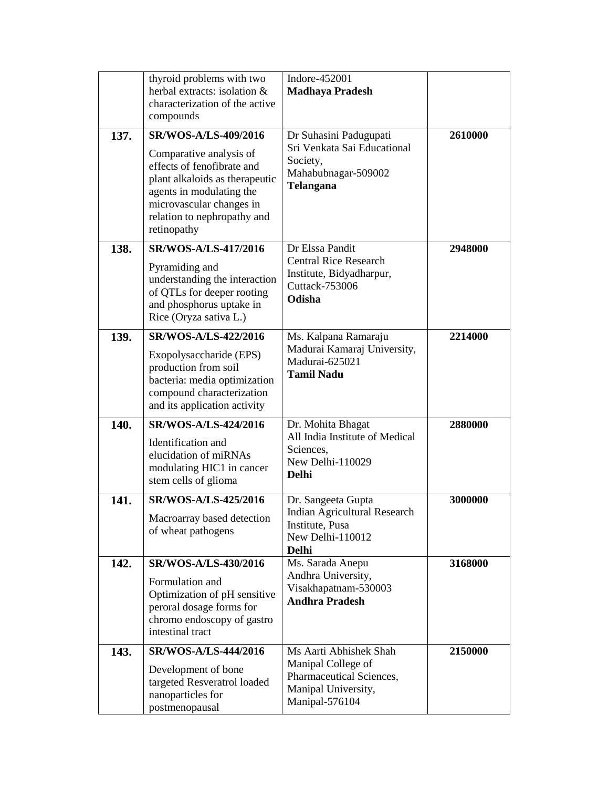|      | thyroid problems with two<br>herbal extracts: isolation &<br>characterization of the active<br>compounds                                                                                                                     | Indore-452001<br><b>Madhaya Pradesh</b>                                                                           |         |
|------|------------------------------------------------------------------------------------------------------------------------------------------------------------------------------------------------------------------------------|-------------------------------------------------------------------------------------------------------------------|---------|
| 137. | <b>SR/WOS-A/LS-409/2016</b><br>Comparative analysis of<br>effects of fenofibrate and<br>plant alkaloids as therapeutic<br>agents in modulating the<br>microvascular changes in<br>relation to nephropathy and<br>retinopathy | Dr Suhasini Padugupati<br>Sri Venkata Sai Educational<br>Society,<br>Mahabubnagar-509002<br><b>Telangana</b>      | 2610000 |
| 138. | SR/WOS-A/LS-417/2016<br>Pyramiding and<br>understanding the interaction<br>of QTLs for deeper rooting<br>and phosphorus uptake in<br>Rice (Oryza sativa L.)                                                                  | Dr Elssa Pandit<br><b>Central Rice Research</b><br>Institute, Bidyadharpur,<br>Cuttack-753006<br>Odisha           | 2948000 |
| 139. | SR/WOS-A/LS-422/2016<br>Exopolysaccharide (EPS)<br>production from soil<br>bacteria: media optimization<br>compound characterization<br>and its application activity                                                         | Ms. Kalpana Ramaraju<br>Madurai Kamaraj University,<br>Madurai-625021<br><b>Tamil Nadu</b>                        | 2214000 |
| 140. | SR/WOS-A/LS-424/2016<br>Identification and<br>elucidation of miRNAs<br>modulating HIC1 in cancer<br>stem cells of glioma                                                                                                     | Dr. Mohita Bhagat<br>All India Institute of Medical<br>Sciences,<br>New Delhi-110029<br><b>Delhi</b>              | 2880000 |
| 141. | SR/WOS-A/LS-425/2016<br>Macroarray based detection<br>of wheat pathogens                                                                                                                                                     | Dr. Sangeeta Gupta<br>Indian Agricultural Research<br>Institute, Pusa<br>New Delhi-110012<br><b>Delhi</b>         | 3000000 |
| 142. | SR/WOS-A/LS-430/2016<br>Formulation and<br>Optimization of pH sensitive<br>peroral dosage forms for<br>chromo endoscopy of gastro<br>intestinal tract                                                                        | Ms. Sarada Anepu<br>Andhra University,<br>Visakhapatnam-530003<br><b>Andhra Pradesh</b>                           | 3168000 |
| 143. | <b>SR/WOS-A/LS-444/2016</b><br>Development of bone<br>targeted Resveratrol loaded<br>nanoparticles for<br>postmenopausal                                                                                                     | Ms Aarti Abhishek Shah<br>Manipal College of<br>Pharmaceutical Sciences,<br>Manipal University,<br>Manipal-576104 | 2150000 |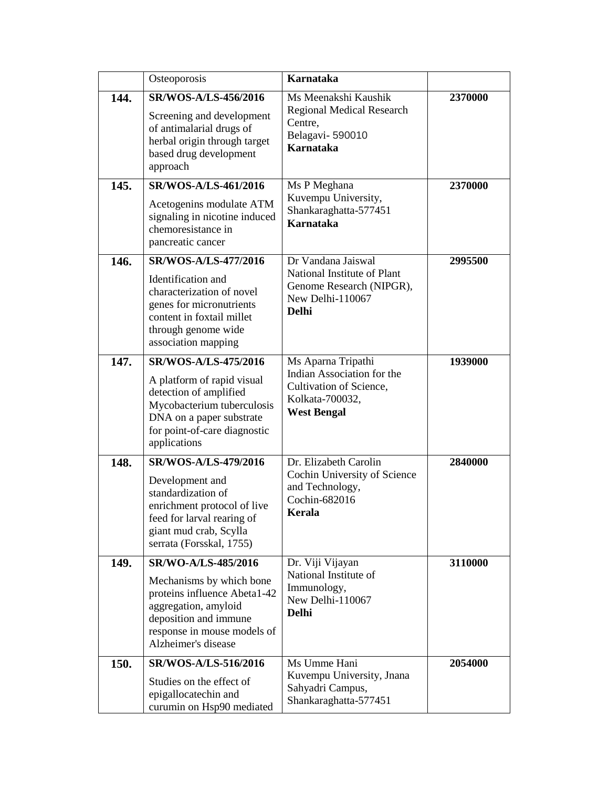|      | Osteoporosis                                                                                                                                                                           | <b>Karnataka</b>                                                                                                     |         |
|------|----------------------------------------------------------------------------------------------------------------------------------------------------------------------------------------|----------------------------------------------------------------------------------------------------------------------|---------|
| 144. | SR/WOS-A/LS-456/2016<br>Screening and development<br>of antimalarial drugs of<br>herbal origin through target<br>based drug development<br>approach                                    | Ms Meenakshi Kaushik<br><b>Regional Medical Research</b><br>Centre,<br>Belagavi-590010<br><b>Karnataka</b>           | 2370000 |
| 145. | SR/WOS-A/LS-461/2016<br>Acetogenins modulate ATM<br>signaling in nicotine induced<br>chemoresistance in<br>pancreatic cancer                                                           | Ms P Meghana<br>Kuvempu University,<br>Shankaraghatta-577451<br><b>Karnataka</b>                                     | 2370000 |
| 146. | <b>SR/WOS-A/LS-477/2016</b><br>Identification and<br>characterization of novel<br>genes for micronutrients<br>content in foxtail millet<br>through genome wide<br>association mapping  | Dr Vandana Jaiswal<br>National Institute of Plant<br>Genome Research (NIPGR),<br>New Delhi-110067<br><b>Delhi</b>    | 2995500 |
| 147. | SR/WOS-A/LS-475/2016<br>A platform of rapid visual<br>detection of amplified<br>Mycobacterium tuberculosis<br>DNA on a paper substrate<br>for point-of-care diagnostic<br>applications | Ms Aparna Tripathi<br>Indian Association for the<br>Cultivation of Science,<br>Kolkata-700032,<br><b>West Bengal</b> | 1939000 |
| 148. | SR/WOS-A/LS-479/2016<br>Development and<br>standardization of<br>enrichment protocol of live<br>feed for larval rearing of<br>giant mud crab, Scylla<br>serrata (Forsskal, 1755)       | Dr. Elizabeth Carolin<br>Cochin University of Science<br>and Technology,<br>Cochin-682016<br>Kerala                  | 2840000 |
| 149. | SR/WO-A/LS-485/2016<br>Mechanisms by which bone<br>proteins influence Abeta1-42<br>aggregation, amyloid<br>deposition and immune<br>response in mouse models of<br>Alzheimer's disease | Dr. Viji Vijayan<br>National Institute of<br>Immunology,<br>New Delhi-110067<br><b>Delhi</b>                         | 3110000 |
| 150. | SR/WOS-A/LS-516/2016<br>Studies on the effect of<br>epigallocatechin and<br>curumin on Hsp90 mediated                                                                                  | Ms Umme Hani<br>Kuvempu University, Jnana<br>Sahyadri Campus,<br>Shankaraghatta-577451                               | 2054000 |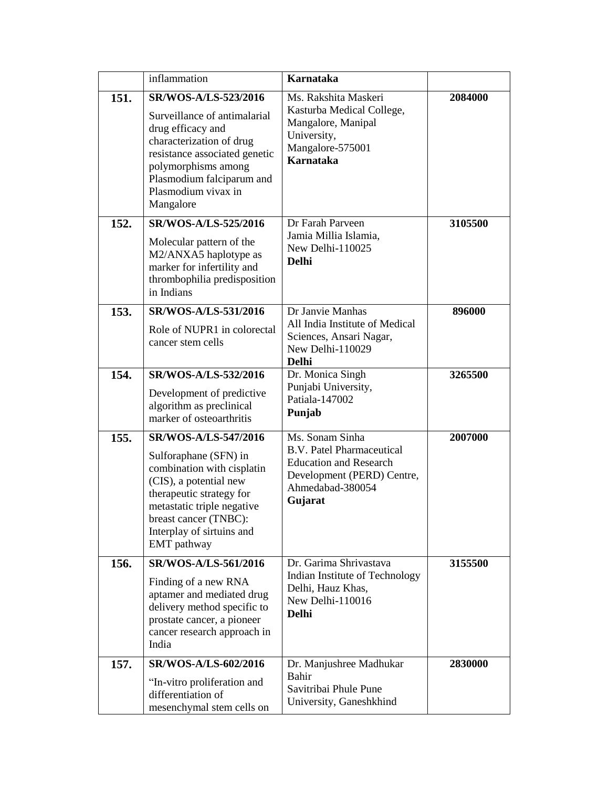|      | inflammation                                                                                                                                                                                                                         | <b>Karnataka</b>                                                                                                                                  |         |
|------|--------------------------------------------------------------------------------------------------------------------------------------------------------------------------------------------------------------------------------------|---------------------------------------------------------------------------------------------------------------------------------------------------|---------|
| 151. | SR/WOS-A/LS-523/2016<br>Surveillance of antimalarial<br>drug efficacy and<br>characterization of drug<br>resistance associated genetic<br>polymorphisms among<br>Plasmodium falciparum and<br>Plasmodium vivax in<br>Mangalore       | Ms. Rakshita Maskeri<br>Kasturba Medical College,<br>Mangalore, Manipal<br>University,<br>Mangalore-575001<br><b>Karnataka</b>                    | 2084000 |
| 152. | <b>SR/WOS-A/LS-525/2016</b><br>Molecular pattern of the<br>M2/ANXA5 haplotype as<br>marker for infertility and<br>thrombophilia predisposition<br>in Indians                                                                         | Dr Farah Parveen<br>Jamia Millia Islamia,<br>New Delhi-110025<br><b>Delhi</b>                                                                     | 3105500 |
| 153. | SR/WOS-A/LS-531/2016<br>Role of NUPR1 in colorectal<br>cancer stem cells                                                                                                                                                             | Dr Janvie Manhas<br>All India Institute of Medical<br>Sciences, Ansari Nagar,<br>New Delhi-110029<br><b>Delhi</b>                                 | 896000  |
| 154. | SR/WOS-A/LS-532/2016<br>Development of predictive<br>algorithm as preclinical<br>marker of osteoarthritis                                                                                                                            | Dr. Monica Singh<br>Punjabi University,<br>Patiala-147002<br>Punjab                                                                               | 3265500 |
| 155. | SR/WOS-A/LS-547/2016<br>Sulforaphane (SFN) in<br>combination with cisplatin<br>(CIS), a potential new<br>therapeutic strategy for<br>metastatic triple negative<br>breast cancer (TNBC):<br>Interplay of sirtuins and<br>EMT pathway | Ms. Sonam Sinha<br><b>B.V. Patel Pharmaceutical</b><br><b>Education and Research</b><br>Development (PERD) Centre,<br>Ahmedabad-380054<br>Gujarat | 2007000 |
| 156. | SR/WOS-A/LS-561/2016<br>Finding of a new RNA<br>aptamer and mediated drug<br>delivery method specific to<br>prostate cancer, a pioneer<br>cancer research approach in<br>India                                                       | Dr. Garima Shrivastava<br>Indian Institute of Technology<br>Delhi, Hauz Khas,<br>New Delhi-110016<br><b>Delhi</b>                                 | 3155500 |
| 157. | <b>SR/WOS-A/LS-602/2016</b><br>"In-vitro proliferation and<br>differentiation of<br>mesenchymal stem cells on                                                                                                                        | Dr. Manjushree Madhukar<br>Bahir<br>Savitribai Phule Pune<br>University, Ganeshkhind                                                              | 2830000 |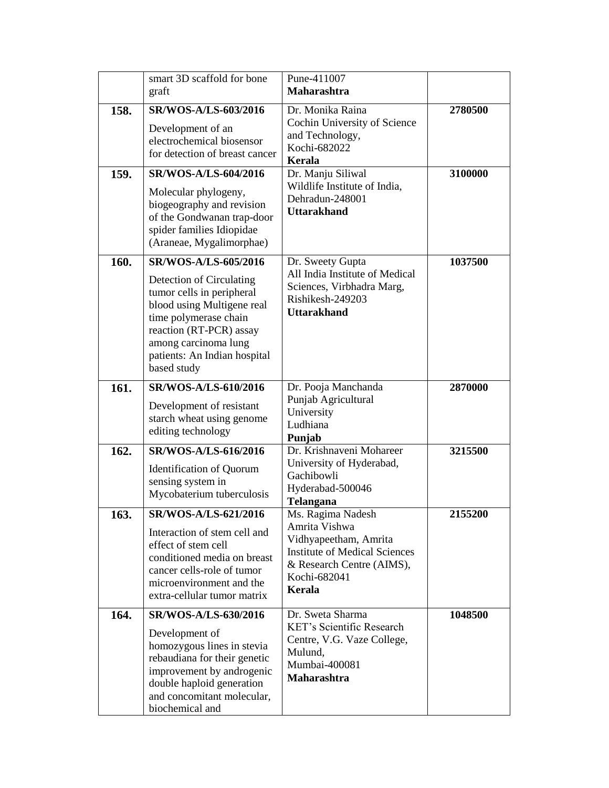|      | smart 3D scaffold for bone<br>graft                                                                                                                                                                                                    | Pune-411007<br>Maharashtra                                                                                                                                 |         |
|------|----------------------------------------------------------------------------------------------------------------------------------------------------------------------------------------------------------------------------------------|------------------------------------------------------------------------------------------------------------------------------------------------------------|---------|
| 158. | SR/WOS-A/LS-603/2016<br>Development of an<br>electrochemical biosensor<br>for detection of breast cancer                                                                                                                               | Dr. Monika Raina<br>Cochin University of Science<br>and Technology,<br>Kochi-682022<br>Kerala                                                              | 2780500 |
| 159. | SR/WOS-A/LS-604/2016<br>Molecular phylogeny,<br>biogeography and revision<br>of the Gondwanan trap-door<br>spider families Idiopidae<br>(Araneae, Mygalimorphae)                                                                       | Dr. Manju Siliwal<br>Wildlife Institute of India,<br>Dehradun-248001<br><b>Uttarakhand</b>                                                                 | 3100000 |
| 160. | SR/WOS-A/LS-605/2016<br>Detection of Circulating<br>tumor cells in peripheral<br>blood using Multigene real<br>time polymerase chain<br>reaction (RT-PCR) assay<br>among carcinoma lung<br>patients: An Indian hospital<br>based study | Dr. Sweety Gupta<br>All India Institute of Medical<br>Sciences, Virbhadra Marg,<br>Rishikesh-249203<br><b>Uttarakhand</b>                                  | 1037500 |
| 161. | SR/WOS-A/LS-610/2016<br>Development of resistant<br>starch wheat using genome<br>editing technology                                                                                                                                    | Dr. Pooja Manchanda<br>Punjab Agricultural<br>University<br>Ludhiana<br>Punjab                                                                             | 2870000 |
| 162. | SR/WOS-A/LS-616/2016<br><b>Identification of Quorum</b><br>sensing system in<br>Mycobaterium tuberculosis                                                                                                                              | Dr. Krishnaveni Mohareer<br>University of Hyderabad,<br>Gachibowli<br>Hyderabad-500046<br><b>Telangana</b>                                                 | 3215500 |
| 163  | SR/WOS-A/LS-621/2016<br>Interaction of stem cell and<br>effect of stem cell<br>conditioned media on breast<br>cancer cells-role of tumor<br>microenvironment and the<br>extra-cellular tumor matrix                                    | Ms. Ragima Nadesh<br>Amrita Vishwa<br>Vidhyapeetham, Amrita<br><b>Institute of Medical Sciences</b><br>& Research Centre (AIMS),<br>Kochi-682041<br>Kerala | 2155200 |
| 164. | SR/WOS-A/LS-630/2016<br>Development of<br>homozygous lines in stevia<br>rebaudiana for their genetic<br>improvement by androgenic<br>double haploid generation<br>and concomitant molecular,<br>biochemical and                        | Dr. Sweta Sharma<br><b>KET's Scientific Research</b><br>Centre, V.G. Vaze College,<br>Mulund,<br>Mumbai-400081<br><b>Maharashtra</b>                       | 1048500 |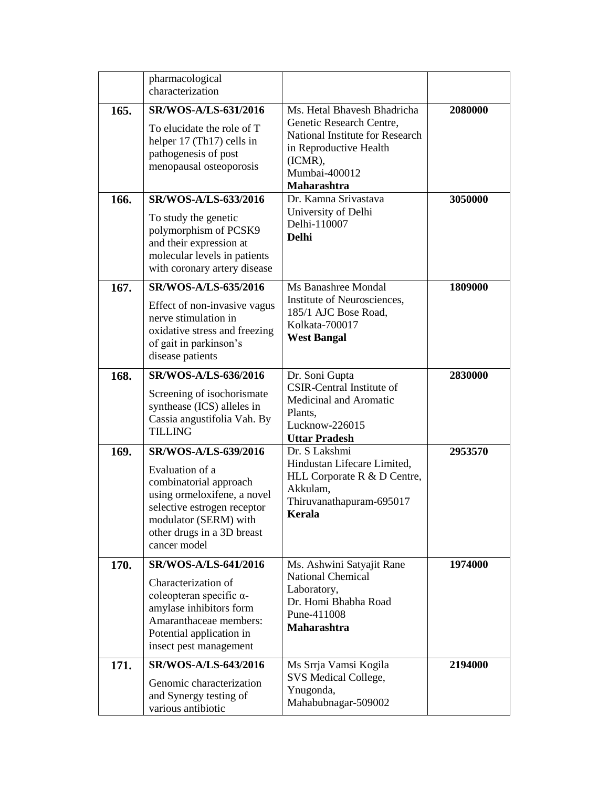|      | pharmacological<br>characterization                                                                                                                                                                    |                                                                                                                                                                 |         |
|------|--------------------------------------------------------------------------------------------------------------------------------------------------------------------------------------------------------|-----------------------------------------------------------------------------------------------------------------------------------------------------------------|---------|
| 165. | SR/WOS-A/LS-631/2016<br>To elucidate the role of T<br>helper 17 (Th17) cells in<br>pathogenesis of post<br>menopausal osteoporosis                                                                     | Ms. Hetal Bhavesh Bhadricha<br>Genetic Research Centre,<br>National Institute for Research<br>in Reproductive Health<br>(ICMR),<br>Mumbai-400012<br>Maharashtra | 2080000 |
| 166. | SR/WOS-A/LS-633/2016<br>To study the genetic<br>polymorphism of PCSK9<br>and their expression at<br>molecular levels in patients<br>with coronary artery disease                                       | Dr. Kamna Srivastava<br>University of Delhi<br>Delhi-110007<br>Delhi                                                                                            | 3050000 |
| 167. | SR/WOS-A/LS-635/2016<br>Effect of non-invasive vagus<br>nerve stimulation in<br>oxidative stress and freezing<br>of gait in parkinson's<br>disease patients                                            | Ms Banashree Mondal<br>Institute of Neurosciences,<br>185/1 AJC Bose Road,<br>Kolkata-700017<br><b>West Bangal</b>                                              | 1809000 |
| 168. | SR/WOS-A/LS-636/2016<br>Screening of isochorismate<br>synthease (ICS) alleles in<br>Cassia angustifolia Vah. By<br><b>TILLING</b>                                                                      | Dr. Soni Gupta<br><b>CSIR-Central Institute of</b><br>Medicinal and Aromatic<br>Plants,<br>Lucknow-226015<br><b>Uttar Pradesh</b>                               | 2830000 |
| 169. | SR/WOS-A/LS-639/2016<br>Evaluation of a<br>combinatorial approach<br>using ormeloxifene, a novel<br>selective estrogen receptor<br>modulator (SERM) with<br>other drugs in a 3D breast<br>cancer model | Dr. S Lakshmi<br>Hindustan Lifecare Limited,<br>HLL Corporate R & D Centre,<br>Akkulam,<br>Thiruvanathapuram-695017<br>Kerala                                   | 2953570 |
| 170. | <b>SR/WOS-A/LS-641/2016</b><br>Characterization of<br>coleopteran specific α-<br>amylase inhibitors form<br>Amaranthaceae members:<br>Potential application in<br>insect pest management               | Ms. Ashwini Satyajit Rane<br><b>National Chemical</b><br>Laboratory,<br>Dr. Homi Bhabha Road<br>Pune-411008<br>Maharashtra                                      | 1974000 |
| 171. | <b>SR/WOS-A/LS-643/2016</b><br>Genomic characterization<br>and Synergy testing of<br>various antibiotic                                                                                                | Ms Srrja Vamsi Kogila<br>SVS Medical College,<br>Ynugonda,<br>Mahabubnagar-509002                                                                               | 2194000 |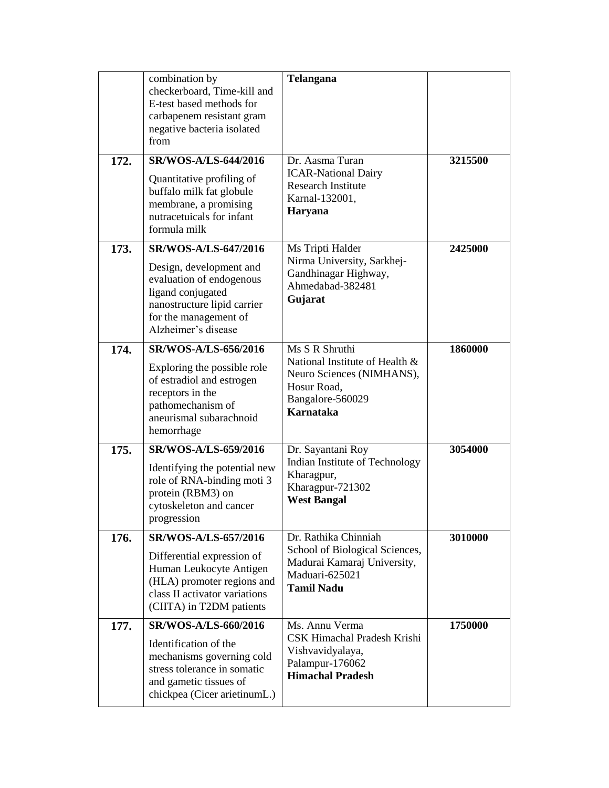| 172. | combination by<br>checkerboard, Time-kill and<br>E-test based methods for<br>carbapenem resistant gram<br>negative bacteria isolated<br>from<br>SR/WOS-A/LS-644/2016<br>Quantitative profiling of | Telangana<br>Dr. Aasma Turan<br><b>ICAR-National Dairy</b><br><b>Research Institute</b>                                              | 3215500 |
|------|---------------------------------------------------------------------------------------------------------------------------------------------------------------------------------------------------|--------------------------------------------------------------------------------------------------------------------------------------|---------|
|      | buffalo milk fat globule<br>membrane, a promising<br>nutracetuicals for infant<br>formula milk                                                                                                    | Karnal-132001,<br>Haryana                                                                                                            |         |
| 173. | SR/WOS-A/LS-647/2016<br>Design, development and<br>evaluation of endogenous<br>ligand conjugated<br>nanostructure lipid carrier<br>for the management of<br>Alzheimer's disease                   | Ms Tripti Halder<br>Nirma University, Sarkhej-<br>Gandhinagar Highway,<br>Ahmedabad-382481<br>Gujarat                                | 2425000 |
| 174. | SR/WOS-A/LS-656/2016<br>Exploring the possible role<br>of estradiol and estrogen<br>receptors in the<br>pathomechanism of<br>aneurismal subarachnoid<br>hemorrhage                                | Ms S R Shruthi<br>National Institute of Health &<br>Neuro Sciences (NIMHANS),<br>Hosur Road,<br>Bangalore-560029<br><b>Karnataka</b> | 1860000 |
| 175. | SR/WOS-A/LS-659/2016<br>Identifying the potential new<br>role of RNA-binding moti 3<br>protein (RBM3) on<br>cytoskeleton and cancer<br>progression                                                | Dr. Sayantani Roy<br>Indian Institute of Technology<br>Kharagpur,<br>Kharagpur-721302<br><b>West Bangal</b>                          | 3054000 |
| 176. | SR/WOS-A/LS-657/2016<br>Differential expression of<br>Human Leukocyte Antigen<br>(HLA) promoter regions and<br>class II activator variations<br>(CIITA) in T2DM patients                          | Dr. Rathika Chinniah<br>School of Biological Sciences,<br>Madurai Kamaraj University,<br>Maduari-625021<br><b>Tamil Nadu</b>         | 3010000 |
| 177. | SR/WOS-A/LS-660/2016<br>Identification of the<br>mechanisms governing cold<br>stress tolerance in somatic<br>and gametic tissues of<br>chickpea (Cicer arietinumL.)                               | Ms. Annu Verma<br>CSK Himachal Pradesh Krishi<br>Vishvavidyalaya,<br>Palampur-176062<br><b>Himachal Pradesh</b>                      | 1750000 |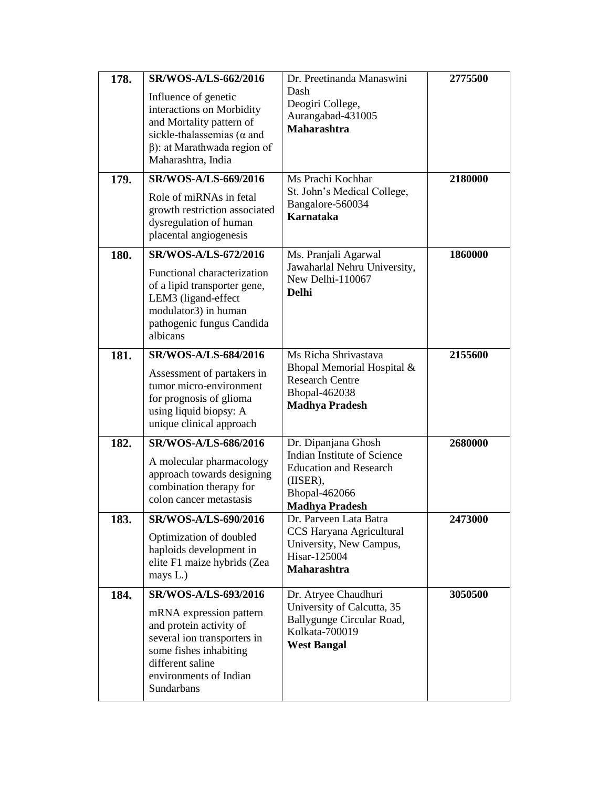| 178.<br>179. | SR/WOS-A/LS-662/2016<br>Influence of genetic<br>interactions on Morbidity<br>and Mortality pattern of<br>sickle-thalassemias ( $\alpha$ and<br>$\beta$ : at Marathwada region of<br>Maharashtra, India<br>SR/WOS-A/LS-669/2016<br>Role of miRNAs in fetal<br>growth restriction associated<br>dysregulation of human<br>placental angiogenesis | Dr. Preetinanda Manaswini<br>Dash<br>Deogiri College,<br>Aurangabad-431005<br><b>Maharashtra</b><br>Ms Prachi Kochhar<br>St. John's Medical College,<br>Bangalore-560034<br><b>Karnataka</b> | 2775500<br>2180000 |
|--------------|------------------------------------------------------------------------------------------------------------------------------------------------------------------------------------------------------------------------------------------------------------------------------------------------------------------------------------------------|----------------------------------------------------------------------------------------------------------------------------------------------------------------------------------------------|--------------------|
| 180.         | SR/WOS-A/LS-672/2016<br>Functional characterization<br>of a lipid transporter gene,<br>LEM3 (ligand-effect<br>modulator3) in human<br>pathogenic fungus Candida<br>albicans                                                                                                                                                                    | Ms. Pranjali Agarwal<br>Jawaharlal Nehru University,<br>New Delhi-110067<br><b>Delhi</b>                                                                                                     | 1860000            |
| 181.         | <b>SR/WOS-A/LS-684/2016</b><br>Assessment of partakers in<br>tumor micro-environment<br>for prognosis of glioma<br>using liquid biopsy: A<br>unique clinical approach                                                                                                                                                                          | Ms Richa Shrivastava<br>Bhopal Memorial Hospital &<br><b>Research Centre</b><br><b>Bhopal-462038</b><br><b>Madhya Pradesh</b>                                                                | 2155600            |
| 182.         | <b>SR/WOS-A/LS-686/2016</b><br>A molecular pharmacology<br>approach towards designing<br>combination therapy for<br>colon cancer metastasis                                                                                                                                                                                                    | Dr. Dipanjana Ghosh<br>Indian Institute of Science<br><b>Education and Research</b><br>(IISER),<br>Bhopal-462066<br><b>Madhya Pradesh</b>                                                    | 2680000            |
| 183.         | SR/WOS-A/LS-690/2016<br>Optimization of doubled<br>haploids development in<br>elite F1 maize hybrids (Zea<br>mays L.)                                                                                                                                                                                                                          | Dr. Parveen Lata Batra<br>CCS Haryana Agricultural<br>University, New Campus,<br>Hisar-125004<br><b>Maharashtra</b>                                                                          | <b>2473000</b>     |
| 184.         | <b>SR/WOS-A/LS-693/2016</b><br>mRNA expression pattern<br>and protein activity of<br>several ion transporters in<br>some fishes inhabiting<br>different saline<br>environments of Indian<br>Sundarbans                                                                                                                                         | Dr. Atryee Chaudhuri<br>University of Calcutta, 35<br>Ballygunge Circular Road,<br>Kolkata-700019<br><b>West Bangal</b>                                                                      | 3050500            |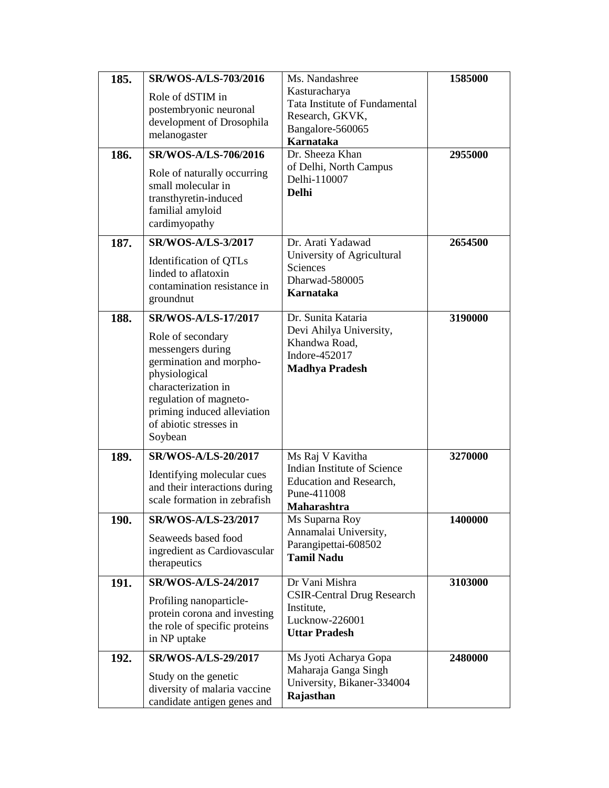| 185. | SR/WOS-A/LS-703/2016                                        | Ms. Nandashree                                         | 1585000 |
|------|-------------------------------------------------------------|--------------------------------------------------------|---------|
|      | Role of dSTIM in                                            | Kasturacharya                                          |         |
|      | postembryonic neuronal                                      | Tata Institute of Fundamental                          |         |
|      | development of Drosophila                                   | Research, GKVK,                                        |         |
|      | melanogaster                                                | Bangalore-560065<br><b>Karnataka</b>                   |         |
| 186. | <b>SR/WOS-A/LS-706/2016</b>                                 | Dr. Sheeza Khan                                        | 2955000 |
|      | Role of naturally occurring<br>small molecular in           | of Delhi, North Campus<br>Delhi-110007<br><b>Delhi</b> |         |
|      | transthyretin-induced<br>familial amyloid<br>cardimyopathy  |                                                        |         |
| 187. | <b>SR/WOS-A/LS-3/2017</b>                                   | Dr. Arati Yadawad                                      | 2654500 |
|      | Identification of QTLs                                      | University of Agricultural                             |         |
|      | linded to aflatoxin                                         | Sciences                                               |         |
|      | contamination resistance in                                 | Dharwad-580005                                         |         |
|      | groundnut                                                   | Karnataka                                              |         |
| 188. | <b>SR/WOS-A/LS-17/2017</b>                                  | Dr. Sunita Kataria                                     | 3190000 |
|      | Role of secondary                                           | Devi Ahilya University,                                |         |
|      | messengers during                                           | Khandwa Road,<br>Indore-452017                         |         |
|      | germination and morpho-                                     | <b>Madhya Pradesh</b>                                  |         |
|      | physiological                                               |                                                        |         |
|      | characterization in                                         |                                                        |         |
|      | regulation of magneto-                                      |                                                        |         |
|      | priming induced alleviation<br>of abiotic stresses in       |                                                        |         |
|      | Soybean                                                     |                                                        |         |
| 189. | SR/WOS-A/LS-20/2017                                         | Ms Raj V Kavitha                                       | 3270000 |
|      |                                                             | Indian Institute of Science                            |         |
|      | Identifying molecular cues<br>and their interactions during | <b>Education and Research,</b>                         |         |
|      | scale formation in zebrafish                                | Pune-411008                                            |         |
|      |                                                             | <b>Maharashtra</b>                                     |         |
| 190. | <b>SR/WOS-A/LS-23/2017</b>                                  | Ms Suparna Roy<br>Annamalai University,                | 1400000 |
|      | Seaweeds based food                                         | Parangipettai-608502                                   |         |
|      | ingredient as Cardiovascular                                | <b>Tamil Nadu</b>                                      |         |
|      | therapeutics                                                |                                                        |         |
| 191. | <b>SR/WOS-A/LS-24/2017</b>                                  | Dr Vani Mishra                                         | 3103000 |
|      | Profiling nanoparticle-                                     | <b>CSIR-Central Drug Research</b><br>Institute,        |         |
|      | protein corona and investing                                | Lucknow-226001                                         |         |
|      | the role of specific proteins                               | <b>Uttar Pradesh</b>                                   |         |
|      | in NP uptake                                                |                                                        |         |
| 192. | SR/WOS-A/LS-29/2017                                         | Ms Jyoti Acharya Gopa<br>Maharaja Ganga Singh          | 2480000 |
|      | Study on the genetic                                        | University, Bikaner-334004                             |         |
|      | diversity of malaria vaccine<br>candidate antigen genes and | Rajasthan                                              |         |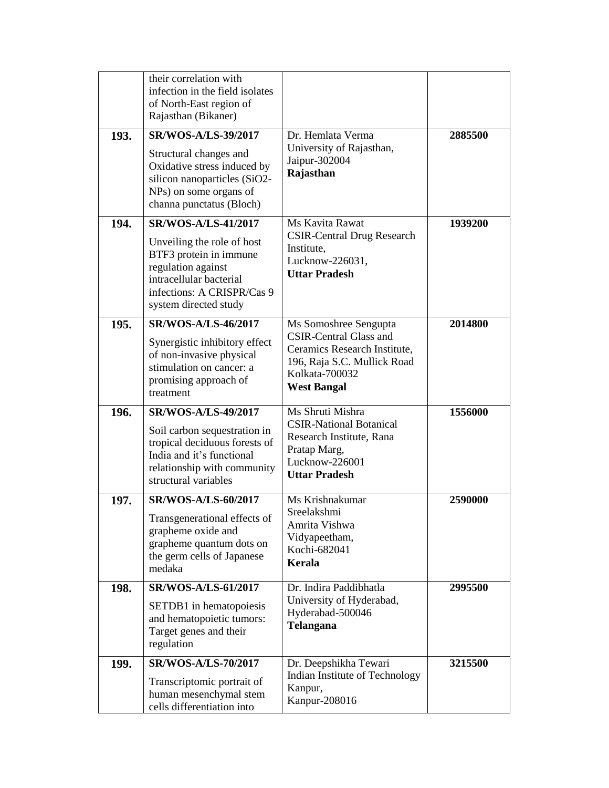|      | their correlation with<br>infection in the field isolates<br>of North-East region of<br>Rajasthan (Bikaner)                                                                                |                                                                                                                                                               |         |
|------|--------------------------------------------------------------------------------------------------------------------------------------------------------------------------------------------|---------------------------------------------------------------------------------------------------------------------------------------------------------------|---------|
| 193. | <b>SR/WOS-A/LS-39/2017</b><br>Structural changes and<br>Oxidative stress induced by<br>silicon nanoparticles (SiO2-<br>NPs) on some organs of<br>channa punctatus (Bloch)                  | Dr. Hemlata Verma<br>University of Rajasthan,<br>Jaipur-302004<br>Rajasthan                                                                                   | 2885500 |
| 194. | <b>SR/WOS-A/LS-41/2017</b><br>Unveiling the role of host<br>BTF3 protein in immune<br>regulation against<br>intracellular bacterial<br>infections: A CRISPR/Cas 9<br>system directed study | Ms Kavita Rawat<br><b>CSIR-Central Drug Research</b><br>Institute,<br>Lucknow-226031,<br><b>Uttar Pradesh</b>                                                 | 1939200 |
| 195. | <b>SR/WOS-A/LS-46/2017</b><br>Synergistic inhibitory effect<br>of non-invasive physical<br>stimulation on cancer: a<br>promising approach of<br>treatment                                  | Ms Somoshree Sengupta<br><b>CSIR-Central Glass and</b><br>Ceramics Research Institute,<br>196, Raja S.C. Mullick Road<br>Kolkata-700032<br><b>West Bangal</b> | 2014800 |
| 196. | <b>SR/WOS-A/LS-49/2017</b><br>Soil carbon sequestration in<br>tropical deciduous forests of<br>India and it's functional<br>relationship with community<br>structural variables            | Ms Shruti Mishra<br><b>CSIR-National Botanical</b><br>Research Institute, Rana<br>Pratap Marg,<br>Lucknow-226001<br><b>Uttar Pradesh</b>                      | 1556000 |
| 197. | <b>SR/WOS-A/LS-60/2017</b><br>Transgenerational effects of<br>grapheme oxide and<br>grapheme quantum dots on<br>the germ cells of Japanese<br>medaka                                       | Ms Krishnakumar<br>Sreelakshmi<br>Amrita Vishwa<br>Vidyapeetham,<br>Kochi-682041<br>Kerala                                                                    | 2590000 |
| 198. | <b>SR/WOS-A/LS-61/2017</b><br>SETDB1 in hematopoiesis<br>and hematopoietic tumors:<br>Target genes and their<br>regulation                                                                 | Dr. Indira Paddibhatla<br>University of Hyderabad,<br>Hyderabad-500046<br><b>Telangana</b>                                                                    | 2995500 |
| 199. | <b>SR/WOS-A/LS-70/2017</b><br>Transcriptomic portrait of<br>human mesenchymal stem<br>cells differentiation into                                                                           | Dr. Deepshikha Tewari<br>Indian Institute of Technology<br>Kanpur,<br>Kanpur-208016                                                                           | 3215500 |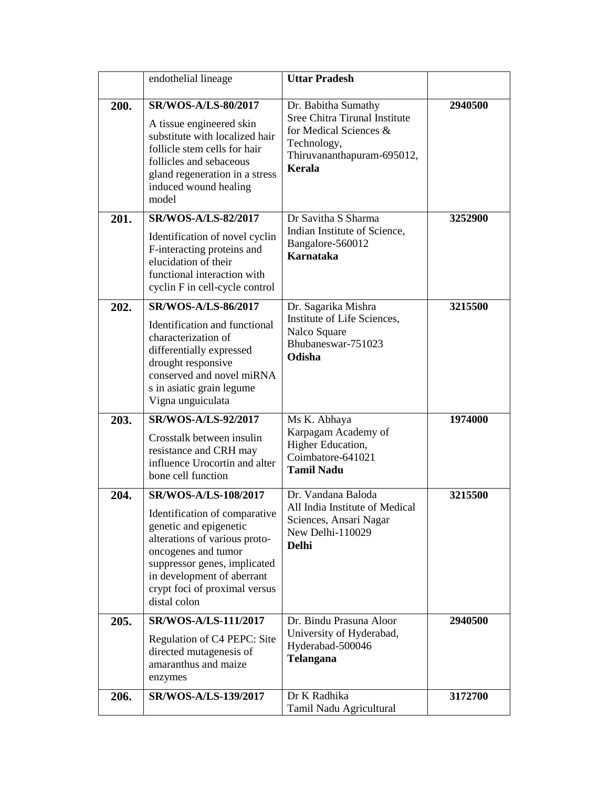|      | endothelial lineage                                                                                                                                                                                                            | <b>Uttar Pradesh</b>                                                                                                                         |         |
|------|--------------------------------------------------------------------------------------------------------------------------------------------------------------------------------------------------------------------------------|----------------------------------------------------------------------------------------------------------------------------------------------|---------|
|      |                                                                                                                                                                                                                                |                                                                                                                                              |         |
| 200. | <b>SR/WOS-A/LS-80/2017</b><br>A tissue engineered skin<br>substitute with localized hair<br>follicle stem cells for hair<br>follicles and sebaceous<br>gland regeneration in a stress<br>induced wound healing<br>model        | Dr. Babitha Sumathy<br>Sree Chitra Tirunal Institute<br>for Medical Sciences &<br>Technology,<br>Thiruvananthapuram-695012,<br><b>Kerala</b> | 2940500 |
| 201. | <b>SR/WOS-A/LS-82/2017</b>                                                                                                                                                                                                     | Dr Savitha S Sharma                                                                                                                          | 3252900 |
|      | Identification of novel cyclin<br>F-interacting proteins and<br>elucidation of their<br>functional interaction with<br>cyclin F in cell-cycle control                                                                          | Indian Institute of Science,<br>Bangalore-560012<br><b>Karnataka</b>                                                                         |         |
| 202. | <b>SR/WOS-A/LS-86/2017</b>                                                                                                                                                                                                     | Dr. Sagarika Mishra                                                                                                                          | 3215500 |
|      | Identification and functional<br>characterization of<br>differentially expressed<br>drought responsive<br>conserved and novel miRNA<br>s in asiatic grain legume<br>Vigna unguiculata                                          | Institute of Life Sciences,<br>Nalco Square<br>Bhubaneswar-751023<br>Odisha                                                                  |         |
| 203. | <b>SR/WOS-A/LS-92/2017</b>                                                                                                                                                                                                     | Ms K. Abhaya                                                                                                                                 | 1974000 |
|      | Crosstalk between insulin<br>resistance and CRH may<br>influence Urocortin and alter<br>bone cell function                                                                                                                     | Karpagam Academy of<br>Higher Education,<br>Coimbatore-641021<br><b>Tamil Nadu</b>                                                           |         |
| 204. | SR/WOS-A/LS-108/2017                                                                                                                                                                                                           | Dr. Vandana Baloda                                                                                                                           | 3215500 |
|      | Identification of comparative<br>genetic and epigenetic<br>alterations of various proto-<br>oncogenes and tumor<br>suppressor genes, implicated<br>in development of aberrant<br>crypt foci of proximal versus<br>distal colon | All India Institute of Medical<br>Sciences, Ansari Nagar<br>New Delhi-110029<br><b>Delhi</b>                                                 |         |
| 205. | SR/WOS-A/LS-111/2017                                                                                                                                                                                                           | Dr. Bindu Prasuna Aloor                                                                                                                      | 2940500 |
|      | Regulation of C4 PEPC: Site<br>directed mutagenesis of<br>amaranthus and maize<br>enzymes                                                                                                                                      | University of Hyderabad,<br>Hyderabad-500046<br><b>Telangana</b>                                                                             |         |
| 206. | SR/WOS-A/LS-139/2017                                                                                                                                                                                                           | Dr K Radhika<br>Tamil Nadu Agricultural                                                                                                      | 3172700 |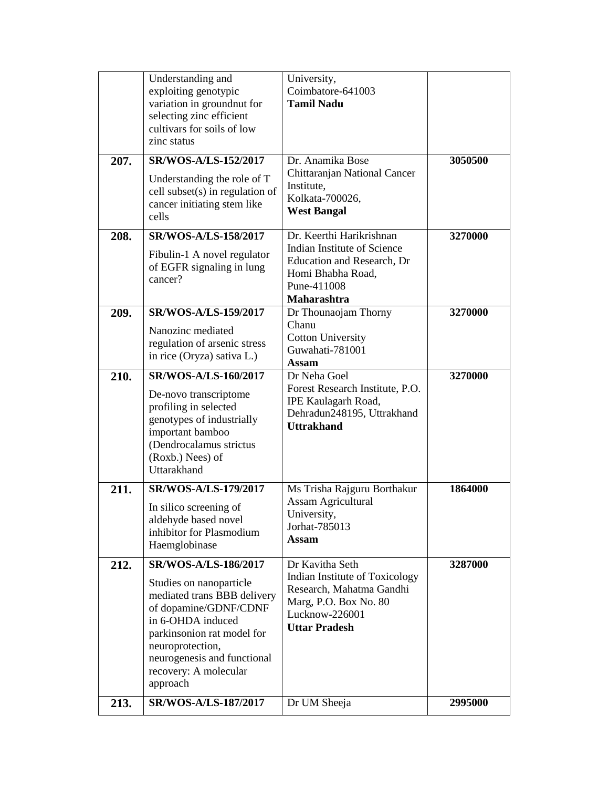|      | Understanding and<br>exploiting genotypic<br>variation in groundnut for                                                                                                                                                                            | University,<br>Coimbatore-641003<br><b>Tamil Nadu</b>                                                                                            |         |
|------|----------------------------------------------------------------------------------------------------------------------------------------------------------------------------------------------------------------------------------------------------|--------------------------------------------------------------------------------------------------------------------------------------------------|---------|
|      | selecting zinc efficient<br>cultivars for soils of low<br>zinc status                                                                                                                                                                              |                                                                                                                                                  |         |
| 207. | SR/WOS-A/LS-152/2017<br>Understanding the role of T<br>cell subset(s) in regulation of<br>cancer initiating stem like<br>cells                                                                                                                     | Dr. Anamika Bose<br>Chittaranjan National Cancer<br>Institute,<br>Kolkata-700026,<br><b>West Bangal</b>                                          | 3050500 |
| 208. | SR/WOS-A/LS-158/2017<br>Fibulin-1 A novel regulator<br>of EGFR signaling in lung<br>cancer?                                                                                                                                                        | Dr. Keerthi Harikrishnan<br>Indian Institute of Science<br>Education and Research, Dr<br>Homi Bhabha Road,<br>Pune-411008<br>Maharashtra         | 3270000 |
| 209. | SR/WOS-A/LS-159/2017<br>Nanozinc mediated<br>regulation of arsenic stress<br>in rice (Oryza) sativa L.)                                                                                                                                            | Dr Thounaojam Thorny<br>Chanu<br><b>Cotton University</b><br>Guwahati-781001<br><b>Assam</b>                                                     | 3270000 |
| 210. | <b>SR/WOS-A/LS-160/2017</b><br>De-novo transcriptome<br>profiling in selected<br>genotypes of industrially<br>important bamboo<br>(Dendrocalamus strictus<br>(Roxb.) Nees) of<br>Uttarakhand                                                       | Dr Neha Goel<br>Forest Research Institute, P.O.<br><b>IPE Kaulagarh Road,</b><br>Dehradun248195, Uttrakhand<br><b>Uttrakhand</b>                 | 3270000 |
| 211. | SR/WOS-A/LS-179/2017<br>In silico screening of<br>aldehyde based novel<br>inhibitor for Plasmodium<br>Haemglobinase                                                                                                                                | Ms Trisha Rajguru Borthakur<br><b>Assam Agricultural</b><br>University,<br>Jorhat-785013<br><b>Assam</b>                                         | 1864000 |
| 212. | SR/WOS-A/LS-186/2017<br>Studies on nanoparticle<br>mediated trans BBB delivery<br>of dopamine/GDNF/CDNF<br>in 6-OHDA induced<br>parkinsonion rat model for<br>neuroprotection,<br>neurogenesis and functional<br>recovery: A molecular<br>approach | Dr Kavitha Seth<br>Indian Institute of Toxicology<br>Research, Mahatma Gandhi<br>Marg, P.O. Box No. 80<br>Lucknow-226001<br><b>Uttar Pradesh</b> | 3287000 |
| 213. | SR/WOS-A/LS-187/2017                                                                                                                                                                                                                               | Dr UM Sheeja                                                                                                                                     | 2995000 |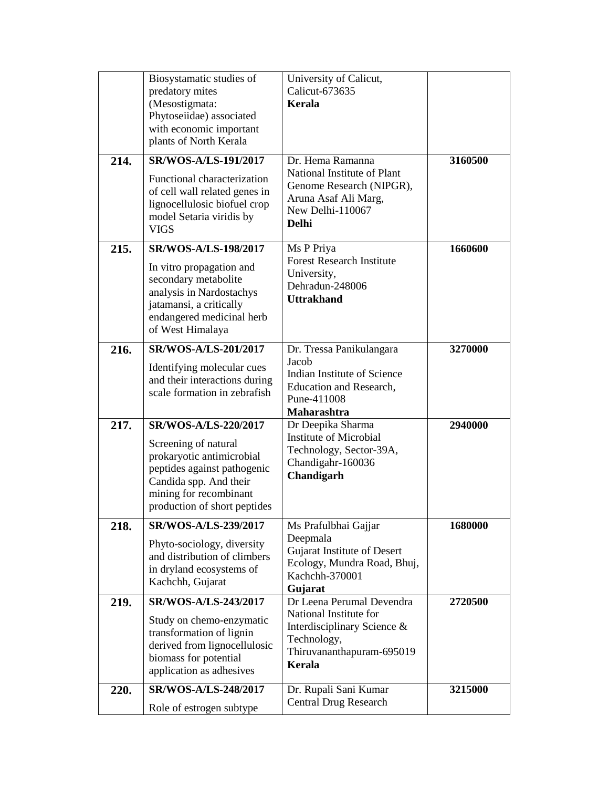|      | Biosystamatic studies of<br>predatory mites<br>(Mesostigmata:<br>Phytoseiidae) associated<br>with economic important<br>plants of North Kerala                                               | University of Calicut,<br>Calicut-673635<br>Kerala                                                                                       |         |
|------|----------------------------------------------------------------------------------------------------------------------------------------------------------------------------------------------|------------------------------------------------------------------------------------------------------------------------------------------|---------|
| 214. | SR/WOS-A/LS-191/2017<br>Functional characterization<br>of cell wall related genes in<br>lignocellulosic biofuel crop<br>model Setaria viridis by<br><b>VIGS</b>                              | Dr. Hema Ramanna<br>National Institute of Plant<br>Genome Research (NIPGR),<br>Aruna Asaf Ali Marg,<br>New Delhi-110067<br><b>Delhi</b>  | 3160500 |
| 215. | SR/WOS-A/LS-198/2017<br>In vitro propagation and<br>secondary metabolite<br>analysis in Nardostachys<br>jatamansi, a critically<br>endangered medicinal herb<br>of West Himalaya             | Ms P Priya<br><b>Forest Research Institute</b><br>University,<br>Dehradun-248006<br><b>Uttrakhand</b>                                    | 1660600 |
| 216. | SR/WOS-A/LS-201/2017<br>Identifying molecular cues<br>and their interactions during<br>scale formation in zebrafish                                                                          | Dr. Tressa Panikulangara<br>Jacob<br>Indian Institute of Science<br>Education and Research,<br>Pune-411008<br><b>Maharashtra</b>         | 3270000 |
| 217. | SR/WOS-A/LS-220/2017<br>Screening of natural<br>prokaryotic antimicrobial<br>peptides against pathogenic<br>Candida spp. And their<br>mining for recombinant<br>production of short peptides | Dr Deepika Sharma<br><b>Institute of Microbial</b><br>Technology, Sector-39A,<br>Chandigahr-160036<br>Chandigarh                         | 2940000 |
| 218. | SR/WOS-A/LS-239/2017<br>Phyto-sociology, diversity<br>and distribution of climbers<br>in dryland ecosystems of<br>Kachchh, Gujarat                                                           | Ms Prafulbhai Gajjar<br>Deepmala<br>Gujarat Institute of Desert<br>Ecology, Mundra Road, Bhuj,<br>Kachchh-370001<br>Gujarat              | 1680000 |
| 219. | SR/WOS-A/LS-243/2017<br>Study on chemo-enzymatic<br>transformation of lignin<br>derived from lignocellulosic<br>biomass for potential<br>application as adhesives                            | Dr Leena Perumal Devendra<br>National Institute for<br>Interdisciplinary Science &<br>Technology,<br>Thiruvananthapuram-695019<br>Kerala | 2720500 |
| 220. | SR/WOS-A/LS-248/2017<br>Role of estrogen subtype                                                                                                                                             | Dr. Rupali Sani Kumar<br><b>Central Drug Research</b>                                                                                    | 3215000 |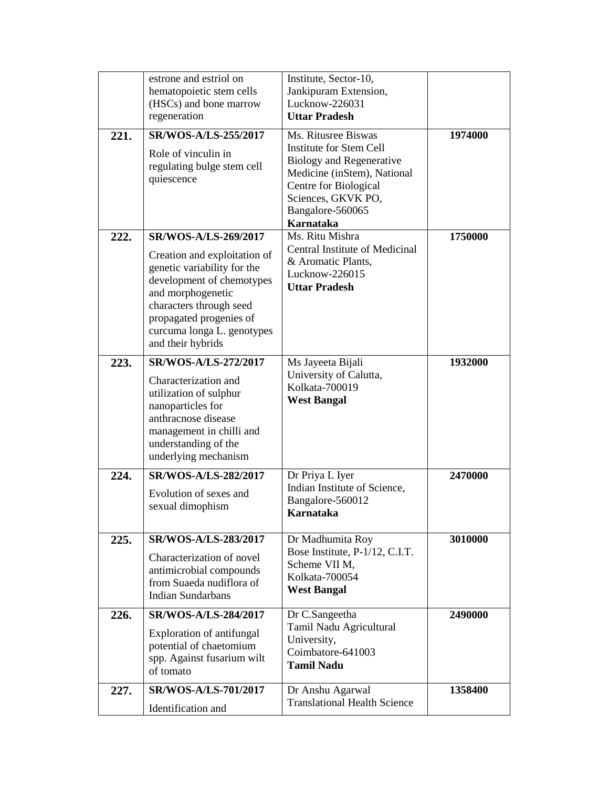|      | estrone and estriol on<br>hematopoietic stem cells<br>(HSCs) and bone marrow<br>regeneration                                                                                                                                                   | Institute, Sector-10,<br>Jankipuram Extension,<br>Lucknow-226031<br><b>Uttar Pradesh</b>                                                                                                  |         |
|------|------------------------------------------------------------------------------------------------------------------------------------------------------------------------------------------------------------------------------------------------|-------------------------------------------------------------------------------------------------------------------------------------------------------------------------------------------|---------|
| 221. | SR/WOS-A/LS-255/2017<br>Role of vinculin in<br>regulating bulge stem cell<br>quiescence                                                                                                                                                        | Ms. Ritusree Biswas<br>Institute for Stem Cell<br>Biology and Regenerative<br>Medicine (inStem), National<br>Centre for Biological<br>Sciences, GKVK PO,<br>Bangalore-560065<br>Karnataka | 1974000 |
| 222. | SR/WOS-A/LS-269/2017<br>Creation and exploitation of<br>genetic variability for the<br>development of chemotypes<br>and morphogenetic<br>characters through seed<br>propagated progenies of<br>curcuma longa L. genotypes<br>and their hybrids | Ms. Ritu Mishra<br>Central Institute of Medicinal<br>& Aromatic Plants,<br>Lucknow-226015<br><b>Uttar Pradesh</b>                                                                         | 1750000 |
| 223. | SR/WOS-A/LS-272/2017<br>Characterization and<br>utilization of sulphur<br>nanoparticles for<br>anthracnose disease<br>management in chilli and<br>understanding of the<br>underlying mechanism                                                 | Ms Jayeeta Bijali<br>University of Calutta,<br>Kolkata-700019<br><b>West Bangal</b>                                                                                                       | 1932000 |
| 224. | SR/WOS-A/LS-282/2017<br>Evolution of sexes and<br>sexual dimophism                                                                                                                                                                             | Dr Priya L Iyer<br>Indian Institute of Science,<br>Bangalore-560012<br>Karnataka                                                                                                          | 2470000 |
| 225. | SR/WOS-A/LS-283/2017<br>Characterization of novel<br>antimicrobial compounds<br>from Suaeda nudiflora of<br><b>Indian Sundarbans</b>                                                                                                           | Dr Madhumita Roy<br>Bose Institute, P-1/12, C.I.T.<br>Scheme VII M,<br>Kolkata-700054<br><b>West Bangal</b>                                                                               | 3010000 |
| 226. | SR/WOS-A/LS-284/2017<br>Exploration of antifungal<br>potential of chaetomium<br>spp. Against fusarium wilt<br>of tomato                                                                                                                        | Dr C.Sangeetha<br>Tamil Nadu Agricultural<br>University,<br>Coimbatore-641003<br><b>Tamil Nadu</b>                                                                                        | 2490000 |
| 227. | SR/WOS-A/LS-701/2017<br>Identification and                                                                                                                                                                                                     | Dr Anshu Agarwal<br><b>Translational Health Science</b>                                                                                                                                   | 1358400 |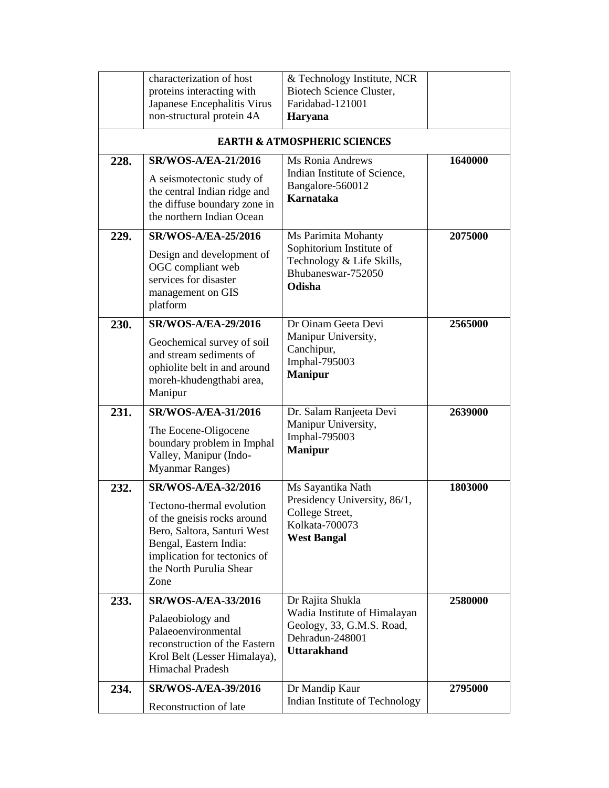|      | characterization of host<br>proteins interacting with<br>Japanese Encephalitis Virus<br>non-structural protein 4A                                                                    | & Technology Institute, NCR<br><b>Biotech Science Cluster,</b><br>Faridabad-121001                 |         |
|------|--------------------------------------------------------------------------------------------------------------------------------------------------------------------------------------|----------------------------------------------------------------------------------------------------|---------|
|      |                                                                                                                                                                                      | <b>Haryana</b><br><b>EARTH &amp; ATMOSPHERIC SCIENCES</b>                                          |         |
|      |                                                                                                                                                                                      |                                                                                                    |         |
| 228. | <b>SR/WOS-A/EA-21/2016</b><br>A seismotectonic study of<br>the central Indian ridge and<br>the diffuse boundary zone in<br>the northern Indian Ocean                                 | <b>Ms Ronia Andrews</b><br>Indian Institute of Science,<br>Bangalore-560012<br><b>Karnataka</b>    | 1640000 |
| 229. | <b>SR/WOS-A/EA-25/2016</b>                                                                                                                                                           | Ms Parimita Mohanty                                                                                | 2075000 |
|      | Design and development of<br>OGC compliant web<br>services for disaster<br>management on GIS<br>platform                                                                             | Sophitorium Institute of<br>Technology & Life Skills,<br>Bhubaneswar-752050<br>Odisha              |         |
| 230. | <b>SR/WOS-A/EA-29/2016</b><br>Geochemical survey of soil<br>and stream sediments of<br>ophiolite belt in and around<br>moreh-khudengthabi area,<br>Manipur                           | Dr Oinam Geeta Devi<br>Manipur University,<br>Canchipur,<br>Imphal-795003<br><b>Manipur</b>        | 2565000 |
| 231. | <b>SR/WOS-A/EA-31/2016</b>                                                                                                                                                           | Dr. Salam Ranjeeta Devi                                                                            | 2639000 |
|      | The Eocene-Oligocene<br>boundary problem in Imphal<br>Valley, Manipur (Indo-<br><b>Myanmar Ranges)</b>                                                                               | Manipur University,<br>Imphal-795003<br><b>Manipur</b>                                             |         |
| 232. | <b>SR/WOS-A/EA-32/2016</b>                                                                                                                                                           | Ms Sayantika Nath                                                                                  | 1803000 |
|      | Tectono-thermal evolution<br>of the gneisis rocks around<br>Bero, Saltora, Santuri West<br>Bengal, Eastern India:<br>implication for tectonics of<br>the North Purulia Shear<br>Zone | Presidency University, 86/1,<br>College Street,<br>Kolkata-700073<br><b>West Bangal</b>            |         |
| 233. | <b>SR/WOS-A/EA-33/2016</b>                                                                                                                                                           | Dr Rajita Shukla                                                                                   | 2580000 |
|      | Palaeobiology and<br>Palaeoenvironmental<br>reconstruction of the Eastern<br>Krol Belt (Lesser Himalaya),<br>Himachal Pradesh                                                        | Wadia Institute of Himalayan<br>Geology, 33, G.M.S. Road,<br>Dehradun-248001<br><b>Uttarakhand</b> |         |
| 234. | <b>SR/WOS-A/EA-39/2016</b>                                                                                                                                                           | Dr Mandip Kaur                                                                                     | 2795000 |
|      | Reconstruction of late                                                                                                                                                               | Indian Institute of Technology                                                                     |         |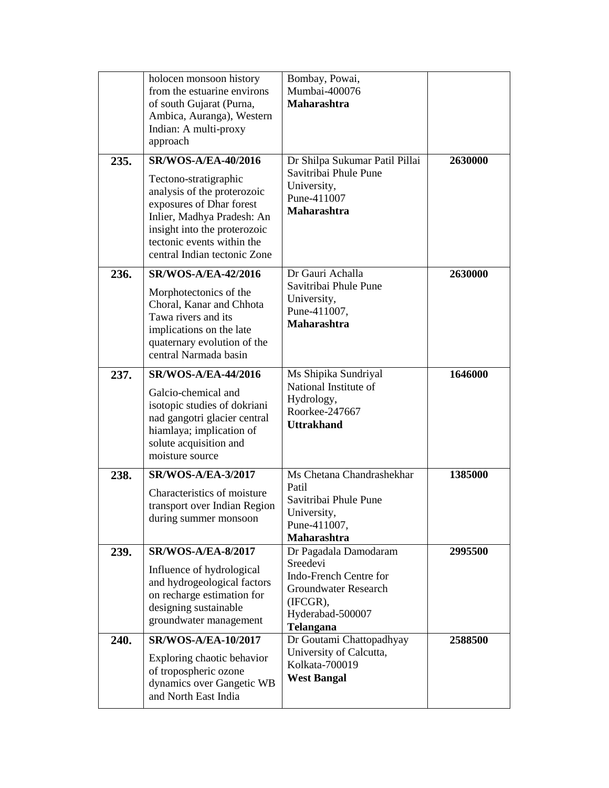| 235. | holocen monsoon history<br>from the estuarine environs<br>of south Gujarat (Purna,<br>Ambica, Auranga), Western<br>Indian: A multi-proxy<br>approach<br><b>SR/WOS-A/EA-40/2016</b><br>Tectono-stratigraphic<br>analysis of the proterozoic<br>exposures of Dhar forest<br>Inlier, Madhya Pradesh: An<br>insight into the proterozoic<br>tectonic events within the<br>central Indian tectonic Zone | Bombay, Powai,<br>Mumbai-400076<br><b>Maharashtra</b><br>Dr Shilpa Sukumar Patil Pillai<br>Savitribai Phule Pune<br>University,<br>Pune-411007<br>Maharashtra | 2630000 |
|------|----------------------------------------------------------------------------------------------------------------------------------------------------------------------------------------------------------------------------------------------------------------------------------------------------------------------------------------------------------------------------------------------------|---------------------------------------------------------------------------------------------------------------------------------------------------------------|---------|
| 236. | <b>SR/WOS-A/EA-42/2016</b><br>Morphotectonics of the<br>Choral, Kanar and Chhota<br>Tawa rivers and its<br>implications on the late<br>quaternary evolution of the<br>central Narmada basin                                                                                                                                                                                                        | Dr Gauri Achalla<br>Savitribai Phule Pune<br>University,<br>Pune-411007,<br><b>Maharashtra</b>                                                                | 2630000 |
| 237. | <b>SR/WOS-A/EA-44/2016</b><br>Galcio-chemical and<br>isotopic studies of dokriani<br>nad gangotri glacier central<br>hiamlaya; implication of<br>solute acquisition and<br>moisture source                                                                                                                                                                                                         | Ms Shipika Sundriyal<br>National Institute of<br>Hydrology,<br>Roorkee-247667<br><b>Uttrakhand</b>                                                            | 1646000 |
| 238. | <b>SR/WOS-A/EA-3/2017</b><br>Characteristics of moisture<br>transport over Indian Region<br>during summer monsoon                                                                                                                                                                                                                                                                                  | Ms Chetana Chandrashekhar<br>Patil<br>Savitribai Phule Pune<br>University,<br>Pune-411007,<br>Maharashtra                                                     | 1385000 |
| 239. | <b>SR/WOS-A/EA-8/2017</b><br>Influence of hydrological<br>and hydrogeological factors<br>on recharge estimation for<br>designing sustainable<br>groundwater management                                                                                                                                                                                                                             | Dr Pagadala Damodaram<br>Sreedevi<br>Indo-French Centre for<br><b>Groundwater Research</b><br>(IFCGR),<br>Hyderabad-500007<br>Telangana                       | 2995500 |
| 240. | <b>SR/WOS-A/EA-10/2017</b><br>Exploring chaotic behavior<br>of tropospheric ozone<br>dynamics over Gangetic WB<br>and North East India                                                                                                                                                                                                                                                             | Dr Goutami Chattopadhyay<br>University of Calcutta,<br>Kolkata-700019<br><b>West Bangal</b>                                                                   | 2588500 |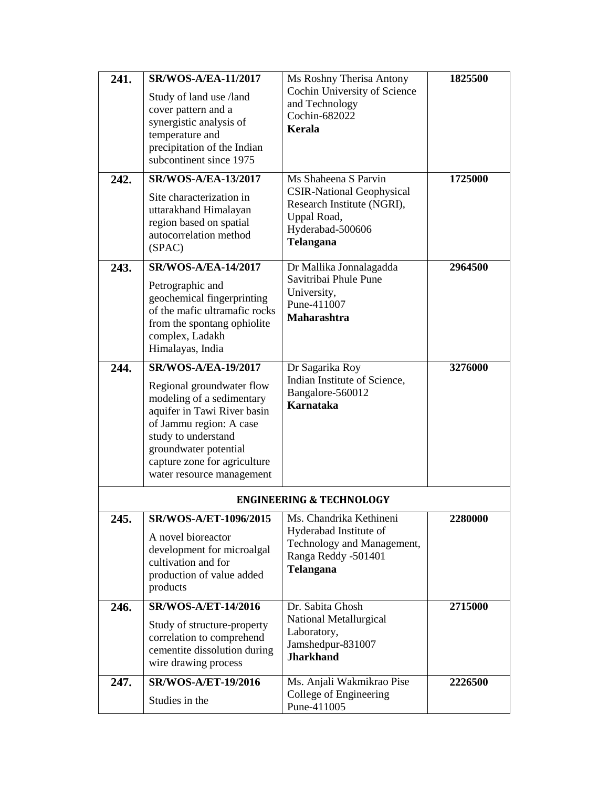| 241. | <b>SR/WOS-A/EA-11/2017</b>                                                                                                                                                                                                    | Ms Roshny Therisa Antony                                                                                                   | 1825500        |
|------|-------------------------------------------------------------------------------------------------------------------------------------------------------------------------------------------------------------------------------|----------------------------------------------------------------------------------------------------------------------------|----------------|
|      | Study of land use /land<br>cover pattern and a<br>synergistic analysis of<br>temperature and<br>precipitation of the Indian<br>subcontinent since 1975                                                                        | Cochin University of Science<br>and Technology<br>Cochin-682022<br>Kerala                                                  |                |
| 242. | <b>SR/WOS-A/EA-13/2017</b>                                                                                                                                                                                                    | Ms Shaheena S Parvin                                                                                                       | 1725000        |
|      | Site characterization in<br>uttarakhand Himalayan<br>region based on spatial<br>autocorrelation method<br>(SPAC)                                                                                                              | <b>CSIR-National Geophysical</b><br>Research Institute (NGRI),<br>Uppal Road,<br>Hyderabad-500606<br><b>Telangana</b>      |                |
| 243. | <b>SR/WOS-A/EA-14/2017</b>                                                                                                                                                                                                    | Dr Mallika Jonnalagadda                                                                                                    | 2964500        |
|      | Petrographic and<br>geochemical fingerprinting<br>of the mafic ultramafic rocks<br>from the spontang ophiolite<br>complex, Ladakh<br>Himalayas, India                                                                         | Savitribai Phule Pune<br>University,<br>Pune-411007<br><b>Maharashtra</b>                                                  |                |
| 244. | <b>SR/WOS-A/EA-19/2017</b>                                                                                                                                                                                                    | Dr Sagarika Roy                                                                                                            | 3276000        |
|      | Regional groundwater flow<br>modeling of a sedimentary<br>aquifer in Tawi River basin<br>of Jammu region: A case<br>study to understand<br>groundwater potential<br>capture zone for agriculture<br>water resource management | Indian Institute of Science,<br>Bangalore-560012<br>Karnataka                                                              |                |
|      |                                                                                                                                                                                                                               | <b>ENGINEERING &amp; TECHNOLOGY</b>                                                                                        |                |
| 245. | SR/WOS-A/ET-1096/2015<br>A novel bioreactor<br>development for microalgal<br>cultivation and for<br>production of value added<br>products                                                                                     | Ms. Chandrika Kethineni<br>Hyderabad Institute of<br>Technology and Management,<br>Ranga Reddy -501401<br><b>Telangana</b> | <b>2280000</b> |
| 246. | <b>SR/WOS-A/ET-14/2016</b>                                                                                                                                                                                                    | Dr. Sabita Ghosh                                                                                                           | 2715000        |
|      | Study of structure-property<br>correlation to comprehend<br>cementite dissolution during<br>wire drawing process                                                                                                              | National Metallurgical<br>Laboratory,<br>Jamshedpur-831007<br><b>Jharkhand</b>                                             |                |
| 247. | <b>SR/WOS-A/ET-19/2016</b>                                                                                                                                                                                                    | Ms. Anjali Wakmikrao Pise                                                                                                  | 2226500        |
|      | Studies in the                                                                                                                                                                                                                | College of Engineering<br>Pune-411005                                                                                      |                |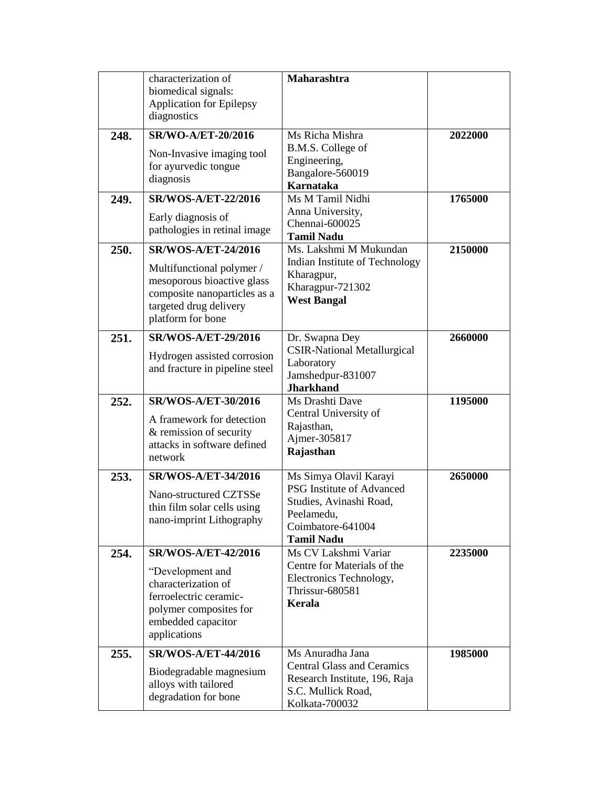|      | characterization of<br>biomedical signals:<br><b>Application for Epilepsy</b><br>diagnostics                                                                         | <b>Maharashtra</b>                                                                                                                            |         |
|------|----------------------------------------------------------------------------------------------------------------------------------------------------------------------|-----------------------------------------------------------------------------------------------------------------------------------------------|---------|
| 248. | SR/WO-A/ET-20/2016<br>Non-Invasive imaging tool<br>for ayurvedic tongue<br>diagnosis                                                                                 | Ms Richa Mishra<br>B.M.S. College of<br>Engineering,<br>Bangalore-560019<br><b>Karnataka</b>                                                  | 2022000 |
| 249. | <b>SR/WOS-A/ET-22/2016</b><br>Early diagnosis of<br>pathologies in retinal image                                                                                     | Ms M Tamil Nidhi<br>Anna University,<br>Chennai-600025<br><b>Tamil Nadu</b>                                                                   | 1765000 |
| 250. | <b>SR/WOS-A/ET-24/2016</b><br>Multifunctional polymer /<br>mesoporous bioactive glass<br>composite nanoparticles as a<br>targeted drug delivery<br>platform for bone | Ms. Lakshmi M Mukundan<br>Indian Institute of Technology<br>Kharagpur,<br>Kharagpur-721302<br><b>West Bangal</b>                              | 2150000 |
| 251. | <b>SR/WOS-A/ET-29/2016</b><br>Hydrogen assisted corrosion<br>and fracture in pipeline steel                                                                          | Dr. Swapna Dey<br><b>CSIR-National Metallurgical</b><br>Laboratory<br>Jamshedpur-831007<br><b>Jharkhand</b>                                   | 2660000 |
| 252. | <b>SR/WOS-A/ET-30/2016</b><br>A framework for detection<br>& remission of security<br>attacks in software defined<br>network                                         | Ms Drashti Dave<br>Central University of<br>Rajasthan,<br>Ajmer-305817<br>Rajasthan                                                           | 1195000 |
| 253. | SR/WOS-A/ET-34/2016<br>Nano-structured CZTSSe<br>thin film solar cells using<br>nano-imprint Lithography                                                             | Ms Simya Olavil Karayi<br><b>PSG</b> Institute of Advanced<br>Studies, Avinashi Road,<br>Peelamedu.<br>Coimbatore-641004<br><b>Tamil Nadu</b> | 2650000 |
| 254. | <b>SR/WOS-A/ET-42/2016</b><br>"Development and<br>characterization of<br>ferroelectric ceramic-<br>polymer composites for<br>embedded capacitor<br>applications      | Ms CV Lakshmi Variar<br>Centre for Materials of the<br>Electronics Technology,<br>Thrissur-680581<br><b>Kerala</b>                            | 2235000 |
| 255. | <b>SR/WOS-A/ET-44/2016</b><br>Biodegradable magnesium<br>alloys with tailored<br>degradation for bone                                                                | Ms Anuradha Jana<br><b>Central Glass and Ceramics</b><br>Research Institute, 196, Raja<br>S.C. Mullick Road,<br>Kolkata-700032                | 1985000 |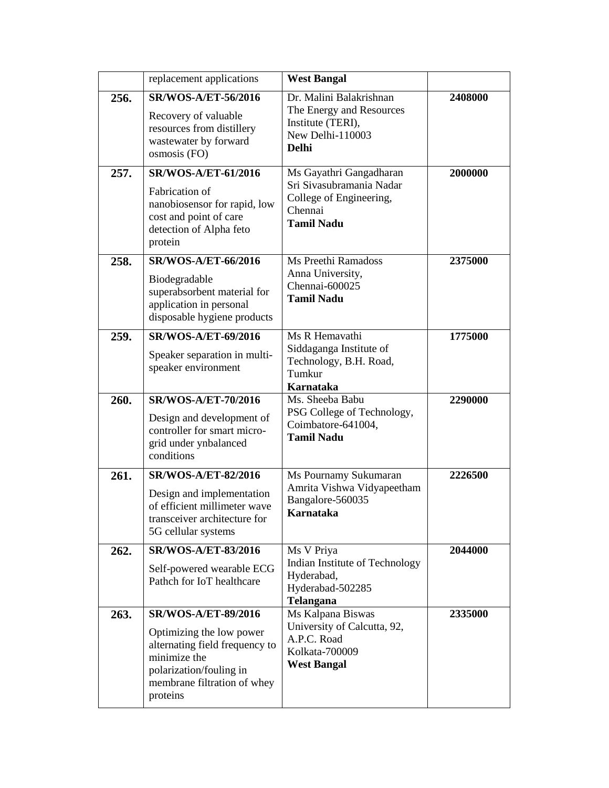|      | replacement applications                                                                                                                                                       | <b>West Bangal</b>                                                                                             |         |
|------|--------------------------------------------------------------------------------------------------------------------------------------------------------------------------------|----------------------------------------------------------------------------------------------------------------|---------|
| 256. | SR/WOS-A/ET-56/2016<br>Recovery of valuable<br>resources from distillery<br>wastewater by forward<br>osmosis (FO)                                                              | Dr. Malini Balakrishnan<br>The Energy and Resources<br>Institute (TERI),<br>New Delhi-110003<br><b>Delhi</b>   | 2408000 |
| 257. | <b>SR/WOS-A/ET-61/2016</b><br>Fabrication of<br>nanobiosensor for rapid, low<br>cost and point of care<br>detection of Alpha feto<br>protein                                   | Ms Gayathri Gangadharan<br>Sri Sivasubramania Nadar<br>College of Engineering,<br>Chennai<br><b>Tamil Nadu</b> | 2000000 |
| 258. | <b>SR/WOS-A/ET-66/2016</b><br>Biodegradable<br>superabsorbent material for<br>application in personal<br>disposable hygiene products                                           | Ms Preethi Ramadoss<br>Anna University,<br>Chennai-600025<br><b>Tamil Nadu</b>                                 | 2375000 |
| 259. | <b>SR/WOS-A/ET-69/2016</b><br>Speaker separation in multi-<br>speaker environment                                                                                              | Ms R Hemavathi<br>Siddaganga Institute of<br>Technology, B.H. Road,<br>Tumkur<br>Karnataka                     | 1775000 |
| 260. | <b>SR/WOS-A/ET-70/2016</b><br>Design and development of<br>controller for smart micro-<br>grid under ynbalanced<br>conditions                                                  | Ms. Sheeba Babu<br>PSG College of Technology,<br>Coimbatore-641004,<br><b>Tamil Nadu</b>                       | 2290000 |
| 261. | <b>SR/WOS-A/ET-82/2016</b><br>Design and implementation<br>of efficient millimeter wave<br>transceiver architecture for<br>5G cellular systems                                 | Ms Pournamy Sukumaran<br>Amrita Vishwa Vidyapeetham<br>Bangalore-560035<br>Karnataka                           | 2226500 |
| 262. | <b>SR/WOS-A/ET-83/2016</b><br>Self-powered wearable ECG<br>Pathch for IoT healthcare                                                                                           | Ms V Priya<br>Indian Institute of Technology<br>Hyderabad,<br>Hyderabad-502285<br><b>Telangana</b>             | 2044000 |
| 263. | <b>SR/WOS-A/ET-89/2016</b><br>Optimizing the low power<br>alternating field frequency to<br>minimize the<br>polarization/fouling in<br>membrane filtration of whey<br>proteins | Ms Kalpana Biswas<br>University of Calcutta, 92,<br>A.P.C. Road<br>Kolkata-700009<br><b>West Bangal</b>        | 2335000 |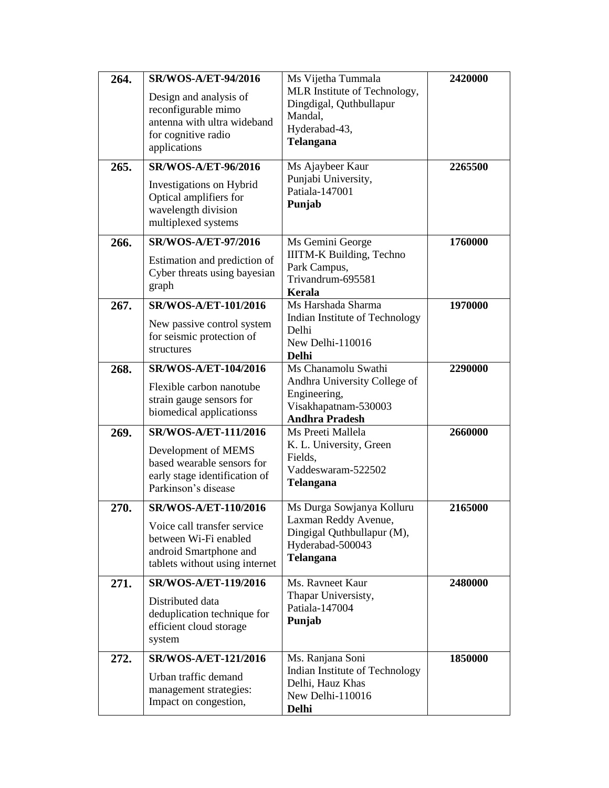| 264. | <b>SR/WOS-A/ET-94/2016</b><br>Design and analysis of<br>reconfigurable mimo<br>antenna with ultra wideband                               | Ms Vijetha Tummala<br>MLR Institute of Technology,<br>Dingdigal, Quthbullapur<br>Mandal,<br>Hyderabad-43,               | 2420000 |
|------|------------------------------------------------------------------------------------------------------------------------------------------|-------------------------------------------------------------------------------------------------------------------------|---------|
|      | for cognitive radio<br>applications                                                                                                      | Telangana                                                                                                               |         |
| 265. | <b>SR/WOS-A/ET-96/2016</b><br>Investigations on Hybrid<br>Optical amplifiers for<br>wavelength division<br>multiplexed systems           | Ms Ajaybeer Kaur<br>Punjabi University,<br>Patiala-147001<br>Punjab                                                     | 2265500 |
| 266. | <b>SR/WOS-A/ET-97/2016</b><br>Estimation and prediction of<br>Cyber threats using bayesian<br>graph                                      | Ms Gemini George<br><b>IIITM-K Building, Techno</b><br>Park Campus,<br>Trivandrum-695581<br><b>Kerala</b>               | 1760000 |
| 267. | SR/WOS-A/ET-101/2016<br>New passive control system<br>for seismic protection of<br>structures                                            | Ms Harshada Sharma<br>Indian Institute of Technology<br>Delhi<br>New Delhi-110016<br><b>Delhi</b>                       | 1970000 |
| 268. | SR/WOS-A/ET-104/2016<br>Flexible carbon nanotube<br>strain gauge sensors for<br>biomedical applicationss                                 | Ms Chanamolu Swathi<br>Andhra University College of<br>Engineering,<br>Visakhapatnam-530003<br><b>Andhra Pradesh</b>    | 2290000 |
| 269. | SR/WOS-A/ET-111/2016<br>Development of MEMS<br>based wearable sensors for<br>early stage identification of<br>Parkinson's disease        | Ms Preeti Mallela<br>K. L. University, Green<br>Fields,<br>Vaddeswaram-522502<br>Telangana                              | 2660000 |
| 270. | SR/WOS-A/ET-110/2016<br>Voice call transfer service<br>between Wi-Fi enabled<br>android Smartphone and<br>tablets without using internet | Ms Durga Sowjanya Kolluru<br>Laxman Reddy Avenue,<br>Dingigal Quthbullapur (M),<br>Hyderabad-500043<br><b>Telangana</b> | 2165000 |
| 271. | <b>SR/WOS-A/ET-119/2016</b><br>Distributed data<br>deduplication technique for<br>efficient cloud storage<br>system                      | Ms. Ravneet Kaur<br>Thapar Universisty,<br>Patiala-147004<br>Punjab                                                     | 2480000 |
| 272. | SR/WOS-A/ET-121/2016<br>Urban traffic demand<br>management strategies:<br>Impact on congestion,                                          | Ms. Ranjana Soni<br>Indian Institute of Technology<br>Delhi, Hauz Khas<br>New Delhi-110016<br><b>Delhi</b>              | 1850000 |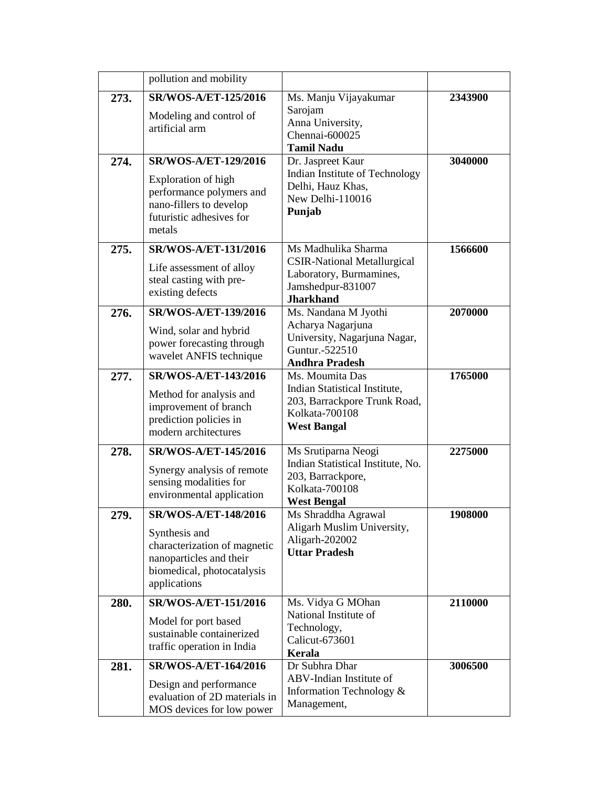|      | pollution and mobility                                                                                                                          |                                                                                                                               |         |
|------|-------------------------------------------------------------------------------------------------------------------------------------------------|-------------------------------------------------------------------------------------------------------------------------------|---------|
| 273. | <b>SR/WOS-A/ET-125/2016</b><br>Modeling and control of<br>artificial arm                                                                        | Ms. Manju Vijayakumar<br>Sarojam<br>Anna University,<br>Chennai-600025<br><b>Tamil Nadu</b>                                   | 2343900 |
| 274. | SR/WOS-A/ET-129/2016<br><b>Exploration of high</b><br>performance polymers and<br>nano-fillers to develop<br>futuristic adhesives for<br>metals | Dr. Jaspreet Kaur<br>Indian Institute of Technology<br>Delhi, Hauz Khas,<br>New Delhi-110016<br>Punjab                        | 3040000 |
| 275. | SR/WOS-A/ET-131/2016<br>Life assessment of alloy<br>steal casting with pre-<br>existing defects                                                 | Ms Madhulika Sharma<br><b>CSIR-National Metallurgical</b><br>Laboratory, Burmamines,<br>Jamshedpur-831007<br><b>Jharkhand</b> | 1566600 |
| 276. | SR/WOS-A/ET-139/2016<br>Wind, solar and hybrid<br>power forecasting through<br>wavelet ANFIS technique                                          | Ms. Nandana M Jyothi<br>Acharya Nagarjuna<br>University, Nagarjuna Nagar,<br>Guntur.-522510<br><b>Andhra Pradesh</b>          | 2070000 |
| 277. | SR/WOS-A/ET-143/2016<br>Method for analysis and<br>improvement of branch<br>prediction policies in<br>modern architectures                      | Ms. Moumita Das<br>Indian Statistical Institute,<br>203, Barrackpore Trunk Road,<br>Kolkata-700108<br><b>West Bangal</b>      | 1765000 |
| 278. | <b>SR/WOS-A/ET-145/2016</b><br>Synergy analysis of remote<br>sensing modalities for<br>environmental application                                | Ms Srutiparna Neogi<br>Indian Statistical Institute, No.<br>203, Barrackpore,<br>Kolkata-700108<br><b>West Bengal</b>         | 2275000 |
| 279. | SR/WOS-A/ET-148/2016<br>Synthesis and<br>characterization of magnetic<br>nanoparticles and their<br>biomedical, photocatalysis<br>applications  | Ms Shraddha Agrawal<br>Aligarh Muslim University,<br>Aligarh-202002<br><b>Uttar Pradesh</b>                                   | 1908000 |
| 280. | SR/WOS-A/ET-151/2016<br>Model for port based<br>sustainable containerized<br>traffic operation in India                                         | Ms. Vidya G MOhan<br>National Institute of<br>Technology,<br>Calicut-673601<br>Kerala                                         | 2110000 |
| 281. | SR/WOS-A/ET-164/2016<br>Design and performance<br>evaluation of 2D materials in<br>MOS devices for low power                                    | Dr Subhra Dhar<br>ABV-Indian Institute of<br>Information Technology &<br>Management,                                          | 3006500 |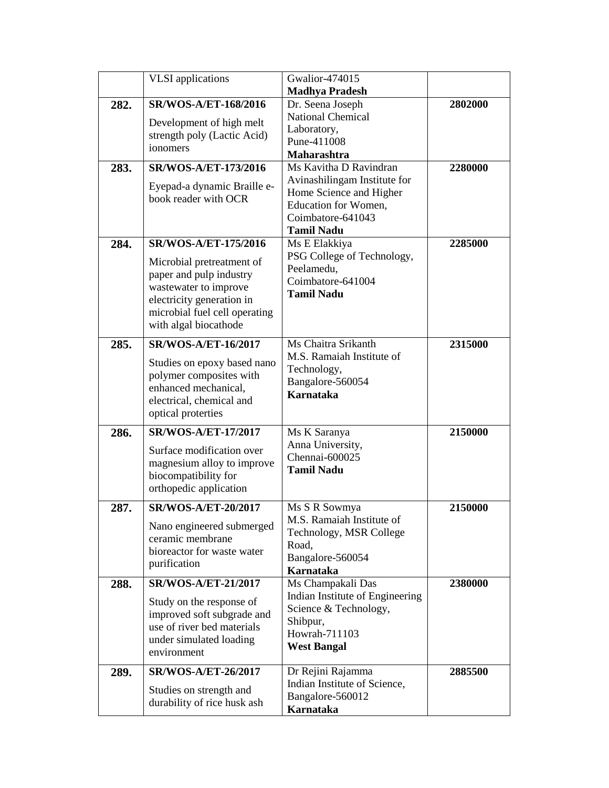|      | <b>VLSI</b> applications                       | <b>Gwalior-474015</b>                           |         |
|------|------------------------------------------------|-------------------------------------------------|---------|
|      |                                                | <b>Madhya Pradesh</b>                           |         |
| 282. | SR/WOS-A/ET-168/2016                           | Dr. Seena Joseph                                | 2802000 |
|      | Development of high melt                       | <b>National Chemical</b>                        |         |
|      | strength poly (Lactic Acid)                    | Laboratory,                                     |         |
|      | ionomers                                       | Pune-411008                                     |         |
|      |                                                | Maharashtra                                     |         |
| 283. | <b>SR/WOS-A/ET-173/2016</b>                    | Ms Kavitha D Ravindran                          | 2280000 |
|      | Eyepad-a dynamic Braille e-                    | Avinashilingam Institute for                    |         |
|      | book reader with OCR                           | Home Science and Higher<br>Education for Women, |         |
|      |                                                | Coimbatore-641043                               |         |
|      |                                                | <b>Tamil Nadu</b>                               |         |
| 284. | SR/WOS-A/ET-175/2016                           | Ms E Elakkiya                                   | 2285000 |
|      |                                                | PSG College of Technology,                      |         |
|      | Microbial pretreatment of                      | Peelamedu,                                      |         |
|      | paper and pulp industry                        | Coimbatore-641004                               |         |
|      | wastewater to improve                          | <b>Tamil Nadu</b>                               |         |
|      | electricity generation in                      |                                                 |         |
|      | microbial fuel cell operating                  |                                                 |         |
|      | with algal biocathode                          |                                                 |         |
| 285. | <b>SR/WOS-A/ET-16/2017</b>                     | Ms Chaitra Srikanth                             | 2315000 |
|      | Studies on epoxy based nano                    | M.S. Ramaiah Institute of                       |         |
|      | polymer composites with                        | Technology,                                     |         |
|      | enhanced mechanical,                           | Bangalore-560054                                |         |
|      | electrical, chemical and                       | Karnataka                                       |         |
|      | optical proterties                             |                                                 |         |
| 286. | <b>SR/WOS-A/ET-17/2017</b>                     | Ms K Saranya                                    | 2150000 |
|      |                                                | Anna University,                                |         |
|      | Surface modification over                      | Chennai-600025                                  |         |
|      | magnesium alloy to improve                     | <b>Tamil Nadu</b>                               |         |
|      | biocompatibility for<br>orthopedic application |                                                 |         |
|      |                                                |                                                 |         |
| 287. | SR/WOS-A/ET-20/2017                            | Ms S R Sowmya                                   | 2150000 |
|      | Nano engineered submerged                      | M.S. Ramaiah Institute of                       |         |
|      | ceramic membrane                               | Technology, MSR College                         |         |
|      | bioreactor for waste water                     | Road,                                           |         |
|      | purification                                   | Bangalore-560054<br><b>Karnataka</b>            |         |
| 288. | <b>SR/WOS-A/ET-21/2017</b>                     | Ms Champakali Das                               | 2380000 |
|      |                                                | Indian Institute of Engineering                 |         |
|      | Study on the response of                       | Science & Technology,                           |         |
|      | improved soft subgrade and                     | Shibpur,                                        |         |
|      | use of river bed materials                     | Howrah-711103                                   |         |
|      | under simulated loading<br>environment         | <b>West Bangal</b>                              |         |
|      |                                                |                                                 |         |
| 289. | <b>SR/WOS-A/ET-26/2017</b>                     | Dr Rejini Rajamma                               | 2885500 |
|      | Studies on strength and                        | Indian Institute of Science,                    |         |
|      | durability of rice husk ash                    | Bangalore-560012                                |         |
|      |                                                | Karnataka                                       |         |